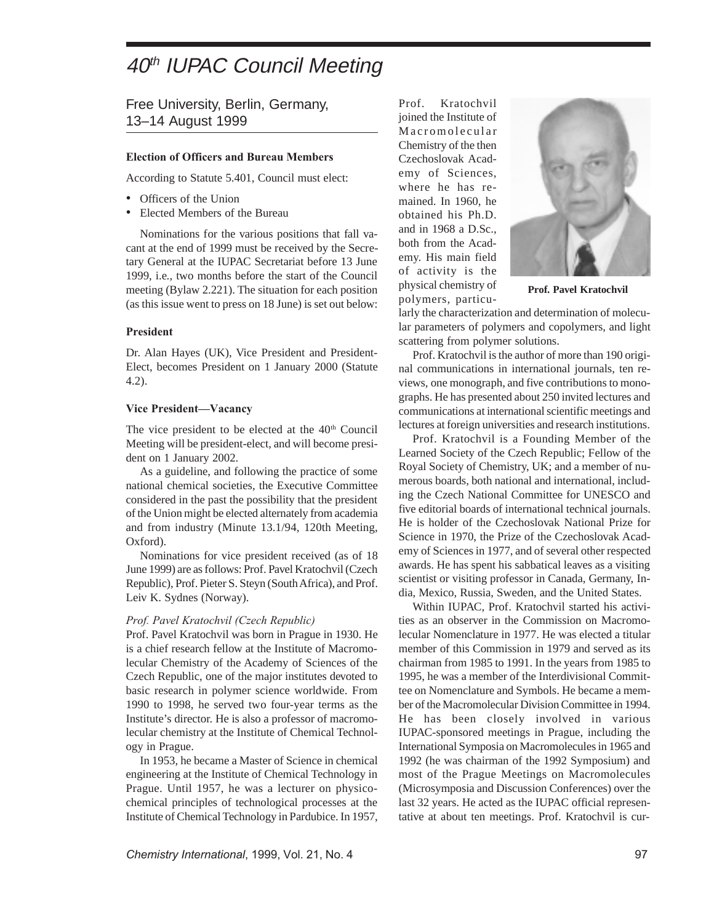# 40<sup>th</sup> IUPAC Council Meeting

## Free University, Berlin, Germany, 13–14 August 1999

#### Election of Officers and Bureau Members

According to Statute 5.401, Council must elect:

- Officers of the Union
- Elected Members of the Bureau

Nominations for the various positions that fall vacant at the end of 1999 must be received by the Secretary General at the IUPAC Secretariat before 13 June 1999, i.e., two months before the start of the Council meeting (Bylaw 2.221). The situation for each position (as this issue went to press on 18 June) is set out below:

#### President

Dr. Alan Hayes (UK), Vice President and President-Elect, becomes President on 1 January 2000 (Statute 4.2).

#### Vice President-Vacancy

The vice president to be elected at the  $40<sup>th</sup>$  Council Meeting will be president-elect, and will become president on 1 January 2002.

As a guideline, and following the practice of some national chemical societies, the Executive Committee considered in the past the possibility that the president of the Union might be elected alternately from academia and from industry (Minute 13.1/94, 120th Meeting, Oxford).

Nominations for vice president received (as of 18 June 1999) are as follows: Prof. Pavel Kratochvil (Czech Republic), Prof. Pieter S. Steyn (South Africa), and Prof. Leiv K. Sydnes (Norway).

#### Prof. Pavel Kratochvil (Czech Republic)

Prof. Pavel Kratochvil was born in Prague in 1930. He is a chief research fellow at the Institute of Macromolecular Chemistry of the Academy of Sciences of the Czech Republic, one of the major institutes devoted to basic research in polymer science worldwide. From 1990 to 1998, he served two four-year terms as the Institute's director. He is also a professor of macromolecular chemistry at the Institute of Chemical Technology in Prague.

In 1953, he became a Master of Science in chemical engineering at the Institute of Chemical Technology in Prague. Until 1957, he was a lecturer on physicochemical principles of technological processes at the Institute of Chemical Technology in Pardubice. In 1957, Prof. Kratochvil joined the Institute of Macromolecular Chemistry of the then Czechoslovak Academy of Sciences, where he has remained. In 1960, he obtained his Ph.D. and in 1968 a D.Sc., both from the Academy. His main field of activity is the physical chemistry of polymers, particu-



**Prof. Pavel Kratochvil**

larly the characterization and determination of molecular parameters of polymers and copolymers, and light scattering from polymer solutions.

Prof. Kratochvil is the author of more than 190 original communications in international journals, ten reviews, one monograph, and five contributions to monographs. He has presented about 250 invited lectures and communications at international scientific meetings and lectures at foreign universities and research institutions.

Prof. Kratochvil is a Founding Member of the Learned Society of the Czech Republic; Fellow of the Royal Society of Chemistry, UK; and a member of numerous boards, both national and international, including the Czech National Committee for UNESCO and five editorial boards of international technical journals. He is holder of the Czechoslovak National Prize for Science in 1970, the Prize of the Czechoslovak Academy of Sciences in 1977, and of several other respected awards. He has spent his sabbatical leaves as a visiting scientist or visiting professor in Canada, Germany, India, Mexico, Russia, Sweden, and the United States.

Within IUPAC, Prof. Kratochvil started his activities as an observer in the Commission on Macromolecular Nomenclature in 1977. He was elected a titular member of this Commission in 1979 and served as its chairman from 1985 to 1991. In the years from 1985 to 1995, he was a member of the Interdivisional Committee on Nomenclature and Symbols. He became a member of the Macromolecular Division Committee in 1994. He has been closely involved in various IUPAC-sponsored meetings in Prague, including the International Symposia on Macromolecules in 1965 and 1992 (he was chairman of the 1992 Symposium) and most of the Prague Meetings on Macromolecules (Microsymposia and Discussion Conferences) over the last 32 years. He acted as the IUPAC official representative at about ten meetings. Prof. Kratochvil is cur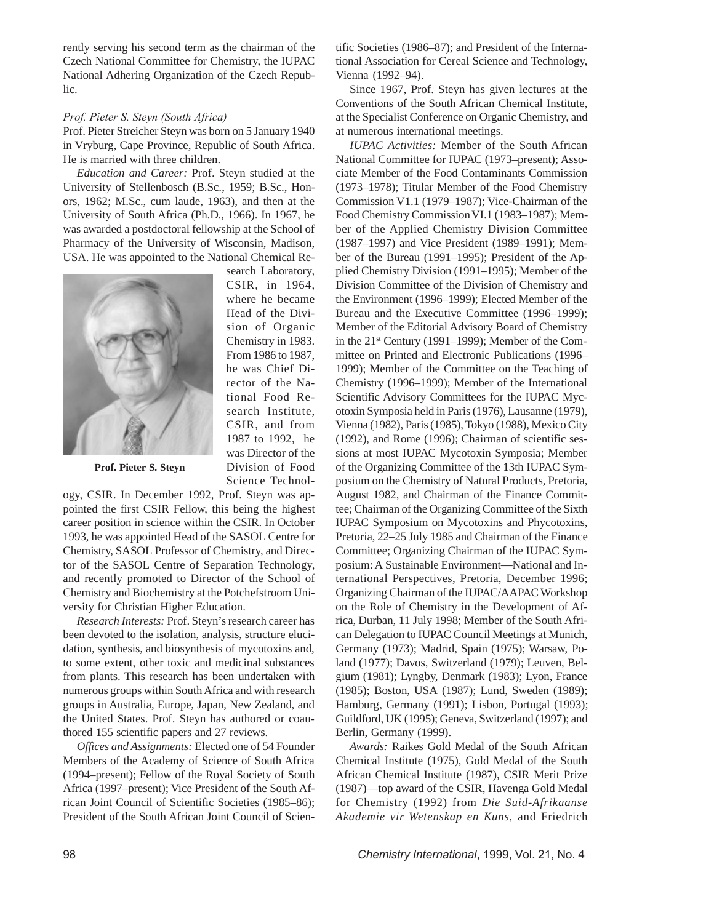rently serving his second term as the chairman of the Czech National Committee for Chemistry, the IUPAC National Adhering Organization of the Czech Republic.

#### Prof. Pieter S. Steyn (South Africa)

Prof. Pieter Streicher Steyn was born on 5 January 1940 in Vryburg, Cape Province, Republic of South Africa. He is married with three children.

*Education and Career:* Prof. Steyn studied at the University of Stellenbosch (B.Sc., 1959; B.Sc., Honors, 1962; M.Sc., cum laude, 1963), and then at the University of South Africa (Ph.D., 1966). In 1967, he was awarded a postdoctoral fellowship at the School of Pharmacy of the University of Wisconsin, Madison, USA. He was appointed to the National Chemical Re-



search Laboratory, CSIR, in 1964, where he became Head of the Division of Organic Chemistry in 1983. From 1986 to 1987, he was Chief Director of the National Food Research Institute, CSIR, and from 1987 to 1992, he was Director of the Division of Food Science Technol-

**Prof. Pieter S. Steyn**

ogy, CSIR. In December 1992, Prof. Steyn was appointed the first CSIR Fellow, this being the highest career position in science within the CSIR. In October 1993, he was appointed Head of the SASOL Centre for Chemistry, SASOL Professor of Chemistry, and Director of the SASOL Centre of Separation Technology, and recently promoted to Director of the School of Chemistry and Biochemistry at the Potchefstroom University for Christian Higher Education.

*Research Interests:* Prof. Steyn's research career has been devoted to the isolation, analysis, structure elucidation, synthesis, and biosynthesis of mycotoxins and, to some extent, other toxic and medicinal substances from plants. This research has been undertaken with numerous groups within South Africa and with research groups in Australia, Europe, Japan, New Zealand, and the United States. Prof. Steyn has authored or coauthored 155 scientific papers and 27 reviews.

*Offices and Assignments:* Elected one of 54 Founder Members of the Academy of Science of South Africa (1994–present); Fellow of the Royal Society of South Africa (1997–present); Vice President of the South African Joint Council of Scientific Societies (1985–86); President of the South African Joint Council of Scientific Societies (1986–87); and President of the International Association for Cereal Science and Technology, Vienna (1992–94).

Since 1967, Prof. Steyn has given lectures at the Conventions of the South African Chemical Institute, at the Specialist Conference on Organic Chemistry, and at numerous international meetings.

*IUPAC Activities:* Member of the South African National Committee for IUPAC (1973–present); Associate Member of the Food Contaminants Commission (1973–1978); Titular Member of the Food Chemistry Commission V1.1 (1979–1987); Vice-Chairman of the Food Chemistry Commission VI.1 (1983–1987); Member of the Applied Chemistry Division Committee (1987–1997) and Vice President (1989–1991); Member of the Bureau (1991–1995); President of the Applied Chemistry Division (1991–1995); Member of the Division Committee of the Division of Chemistry and the Environment (1996–1999); Elected Member of the Bureau and the Executive Committee (1996–1999); Member of the Editorial Advisory Board of Chemistry in the  $21<sup>st</sup>$  Century (1991–1999); Member of the Committee on Printed and Electronic Publications (1996– 1999); Member of the Committee on the Teaching of Chemistry (1996–1999); Member of the International Scientific Advisory Committees for the IUPAC Mycotoxin Symposia held in Paris (1976), Lausanne (1979), Vienna (1982), Paris (1985), Tokyo (1988), Mexico City (1992), and Rome (1996); Chairman of scientific sessions at most IUPAC Mycotoxin Symposia; Member of the Organizing Committee of the 13th IUPAC Symposium on the Chemistry of Natural Products, Pretoria, August 1982, and Chairman of the Finance Committee; Chairman of the Organizing Committee of the Sixth IUPAC Symposium on Mycotoxins and Phycotoxins, Pretoria, 22–25 July 1985 and Chairman of the Finance Committee; Organizing Chairman of the IUPAC Symposium: A Sustainable Environment—National and International Perspectives, Pretoria, December 1996; Organizing Chairman of the IUPAC/AAPAC Workshop on the Role of Chemistry in the Development of Africa, Durban, 11 July 1998; Member of the South African Delegation to IUPAC Council Meetings at Munich, Germany (1973); Madrid, Spain (1975); Warsaw, Poland (1977); Davos, Switzerland (1979); Leuven, Belgium (1981); Lyngby, Denmark (1983); Lyon, France (1985); Boston, USA (1987); Lund, Sweden (1989); Hamburg, Germany (1991); Lisbon, Portugal (1993); Guildford, UK (1995); Geneva, Switzerland (1997); and Berlin, Germany (1999).

*Awards:* Raikes Gold Medal of the South African Chemical Institute (1975), Gold Medal of the South African Chemical Institute (1987), CSIR Merit Prize (1987)—top award of the CSIR, Havenga Gold Medal for Chemistry (1992) from *Die Suid-Afrikaanse Akademie vir Wetenskap en Kuns,* and Friedrich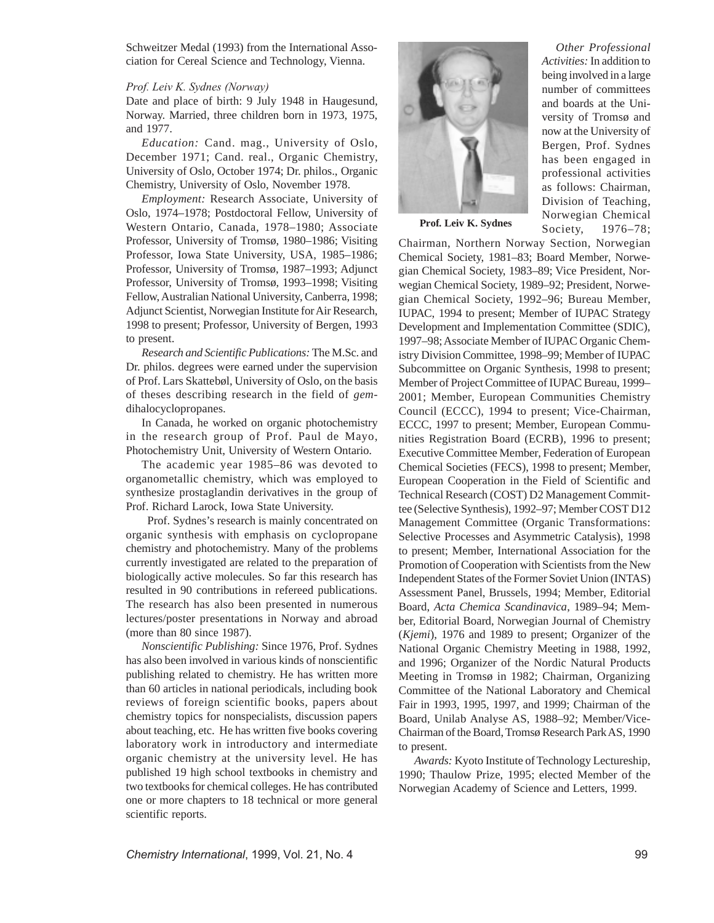Schweitzer Medal (1993) from the International Association for Cereal Science and Technology, Vienna.

#### Prof. Leiv K. Sydnes (Norway)

Date and place of birth: 9 July 1948 in Haugesund, Norway. Married, three children born in 1973, 1975, and 1977.

*Education:* Cand. mag., University of Oslo, December 1971; Cand. real., Organic Chemistry, University of Oslo, October 1974; Dr. philos., Organic Chemistry, University of Oslo, November 1978.

*Employment:* Research Associate, University of Oslo, 1974–1978; Postdoctoral Fellow, University of Western Ontario, Canada, 1978–1980; Associate Professor, University of Tromsø, 1980–1986; Visiting Professor, Iowa State University, USA, 1985–1986; Professor, University of Tromsø, 1987–1993; Adjunct Professor, University of Tromsø, 1993–1998; Visiting Fellow, Australian National University, Canberra, 1998; Adjunct Scientist, Norwegian Institute for Air Research, 1998 to present; Professor, University of Bergen, 1993 to present.

*Research and Scientific Publications:* The M.Sc. and Dr. philos. degrees were earned under the supervision of Prof. Lars Skattebøl, University of Oslo, on the basis of theses describing research in the field of *gem*dihalocyclopropanes.

In Canada, he worked on organic photochemistry in the research group of Prof. Paul de Mayo, Photochemistry Unit, University of Western Ontario.

The academic year 1985–86 was devoted to organometallic chemistry, which was employed to synthesize prostaglandin derivatives in the group of Prof. Richard Larock, Iowa State University.

 Prof. Sydnes's research is mainly concentrated on organic synthesis with emphasis on cyclopropane chemistry and photochemistry. Many of the problems currently investigated are related to the preparation of biologically active molecules. So far this research has resulted in 90 contributions in refereed publications. The research has also been presented in numerous lectures/poster presentations in Norway and abroad (more than 80 since 1987).

*Nonscientific Publishing:* Since 1976, Prof. Sydnes has also been involved in various kinds of nonscientific publishing related to chemistry. He has written more than 60 articles in national periodicals, including book reviews of foreign scientific books, papers about chemistry topics for nonspecialists, discussion papers about teaching, etc. He has written five books covering laboratory work in introductory and intermediate organic chemistry at the university level. He has published 19 high school textbooks in chemistry and two textbooks for chemical colleges. He has contributed one or more chapters to 18 technical or more general scientific reports.



**Prof. Leiv K. Sydnes**

*Other Professional Activities:* In addition to being involved in a large number of committees and boards at the University of Tromsø and now at the University of Bergen, Prof. Sydnes has been engaged in professional activities as follows: Chairman, Division of Teaching, Norwegian Chemical Society, 1976–78;

Chairman, Northern Norway Section, Norwegian Chemical Society, 1981–83; Board Member, Norwegian Chemical Society, 1983–89; Vice President, Norwegian Chemical Society, 1989–92; President, Norwegian Chemical Society, 1992–96; Bureau Member, IUPAC, 1994 to present; Member of IUPAC Strategy Development and Implementation Committee (SDIC), 1997–98; Associate Member of IUPAC Organic Chemistry Division Committee, 1998–99; Member of IUPAC Subcommittee on Organic Synthesis, 1998 to present; Member of Project Committee of IUPAC Bureau, 1999– 2001; Member, European Communities Chemistry Council (ECCC), 1994 to present; Vice-Chairman, ECCC, 1997 to present; Member, European Communities Registration Board (ECRB), 1996 to present; Executive Committee Member, Federation of European Chemical Societies (FECS), 1998 to present; Member, European Cooperation in the Field of Scientific and Technical Research (COST) D2 Management Committee (Selective Synthesis), 1992–97; Member COST D12 Management Committee (Organic Transformations: Selective Processes and Asymmetric Catalysis), 1998 to present; Member, International Association for the Promotion of Cooperation with Scientists from the New Independent States of the Former Soviet Union (INTAS) Assessment Panel, Brussels, 1994; Member, Editorial Board, *Acta Chemica Scandinavica*, 1989–94; Member, Editorial Board, Norwegian Journal of Chemistry (*Kjemi*), 1976 and 1989 to present; Organizer of the National Organic Chemistry Meeting in 1988, 1992, and 1996; Organizer of the Nordic Natural Products Meeting in Tromsø in 1982; Chairman, Organizing Committee of the National Laboratory and Chemical Fair in 1993, 1995, 1997, and 1999; Chairman of the Board, Unilab Analyse AS, 1988–92; Member/Vice-Chairman of the Board, Tromsø Research Park AS, 1990 to present.

*Awards:* Kyoto Institute of Technology Lectureship, 1990; Thaulow Prize, 1995; elected Member of the Norwegian Academy of Science and Letters, 1999.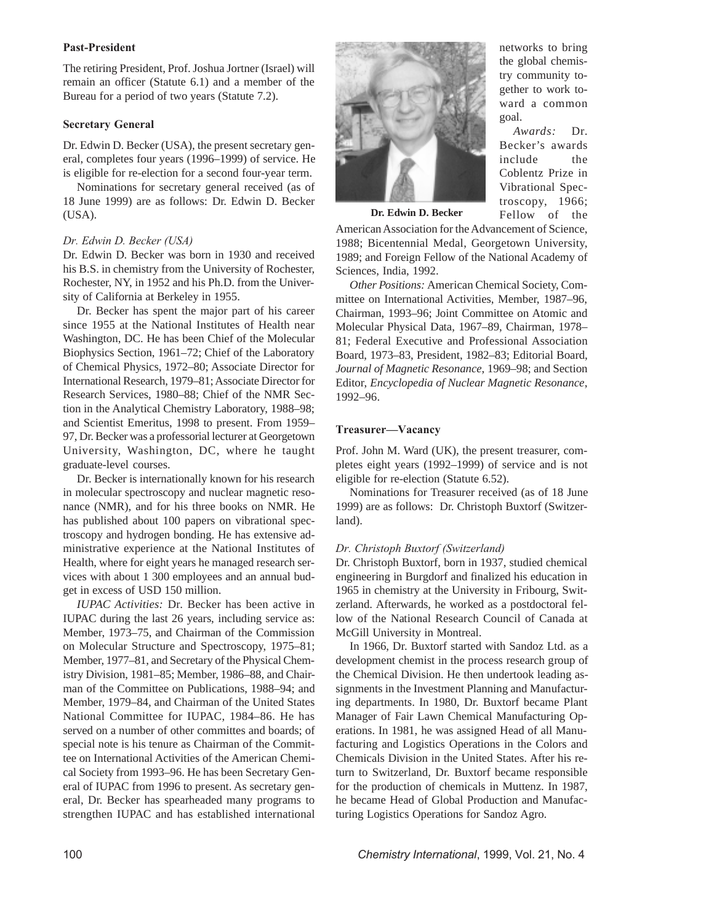### Past-President

The retiring President, Prof. Joshua Jortner (Israel) will remain an officer (Statute 6.1) and a member of the Bureau for a period of two years (Statute 7.2).

#### Secretary General

Dr. Edwin D. Becker (USA), the present secretary general, completes four years (1996–1999) of service. He is eligible for re-election for a second four-year term.

Nominations for secretary general received (as of 18 June 1999) are as follows: Dr. Edwin D. Becker (USA).

#### Dr. Edwin D. Becker (USA)

Dr. Edwin D. Becker was born in 1930 and received his B.S. in chemistry from the University of Rochester, Rochester, NY, in 1952 and his Ph.D. from the University of California at Berkeley in 1955.

Dr. Becker has spent the major part of his career since 1955 at the National Institutes of Health near Washington, DC. He has been Chief of the Molecular Biophysics Section, 1961–72; Chief of the Laboratory of Chemical Physics, 1972–80; Associate Director for International Research, 1979–81; Associate Director for Research Services, 1980–88; Chief of the NMR Section in the Analytical Chemistry Laboratory, 1988–98; and Scientist Emeritus, 1998 to present. From 1959– 97, Dr. Becker was a professorial lecturer at Georgetown University, Washington, DC, where he taught graduate-level courses.

Dr. Becker is internationally known for his research in molecular spectroscopy and nuclear magnetic resonance (NMR), and for his three books on NMR. He has published about 100 papers on vibrational spectroscopy and hydrogen bonding. He has extensive administrative experience at the National Institutes of Health, where for eight years he managed research services with about 1 300 employees and an annual budget in excess of USD 150 million.

*IUPAC Activities:* Dr. Becker has been active in IUPAC during the last 26 years, including service as: Member, 1973–75, and Chairman of the Commission on Molecular Structure and Spectroscopy, 1975–81; Member, 1977–81, and Secretary of the Physical Chemistry Division, 1981–85; Member, 1986–88, and Chairman of the Committee on Publications, 1988–94; and Member, 1979–84, and Chairman of the United States National Committee for IUPAC, 1984–86. He has served on a number of other committes and boards; of special note is his tenure as Chairman of the Committee on International Activities of the American Chemical Society from 1993–96. He has been Secretary General of IUPAC from 1996 to present. As secretary general, Dr. Becker has spearheaded many programs to strengthen IUPAC and has established international



**Dr. Edwin D. Becker**

American Association for the Advancement of Science, 1988; Bicentennial Medal, Georgetown University, 1989; and Foreign Fellow of the National Academy of Sciences, India, 1992.

networks to bring the global chemistry community together to work toward a common

*Awards:* Dr. Becker's awards include the Coblentz Prize in Vibrational Spectroscopy, 1966; Fellow of the

goal.

*Other Positions:* American Chemical Society, Committee on International Activities, Member, 1987–96, Chairman, 1993–96; Joint Committee on Atomic and Molecular Physical Data, 1967–89, Chairman, 1978– 81; Federal Executive and Professional Association Board, 1973–83, President, 1982–83; Editorial Board, *Journal of Magnetic Resonance*, 1969–98; and Section Editor, *Encyclopedia of Nuclear Magnetic Resonance*, 1992–96.

#### Treasurer-Vacancy

Prof. John M. Ward (UK), the present treasurer, completes eight years (1992–1999) of service and is not eligible for re-election (Statute 6.52).

Nominations for Treasurer received (as of 18 June 1999) are as follows: Dr. Christoph Buxtorf (Switzerland).

#### Dr. Christoph Buxtorf (Switzerland)

Dr. Christoph Buxtorf, born in 1937, studied chemical engineering in Burgdorf and finalized his education in 1965 in chemistry at the University in Fribourg, Switzerland. Afterwards, he worked as a postdoctoral fellow of the National Research Council of Canada at McGill University in Montreal.

In 1966, Dr. Buxtorf started with Sandoz Ltd. as a development chemist in the process research group of the Chemical Division. He then undertook leading assignments in the Investment Planning and Manufacturing departments. In 1980, Dr. Buxtorf became Plant Manager of Fair Lawn Chemical Manufacturing Operations. In 1981, he was assigned Head of all Manufacturing and Logistics Operations in the Colors and Chemicals Division in the United States. After his return to Switzerland, Dr. Buxtorf became responsible for the production of chemicals in Muttenz. In 1987, he became Head of Global Production and Manufacturing Logistics Operations for Sandoz Agro.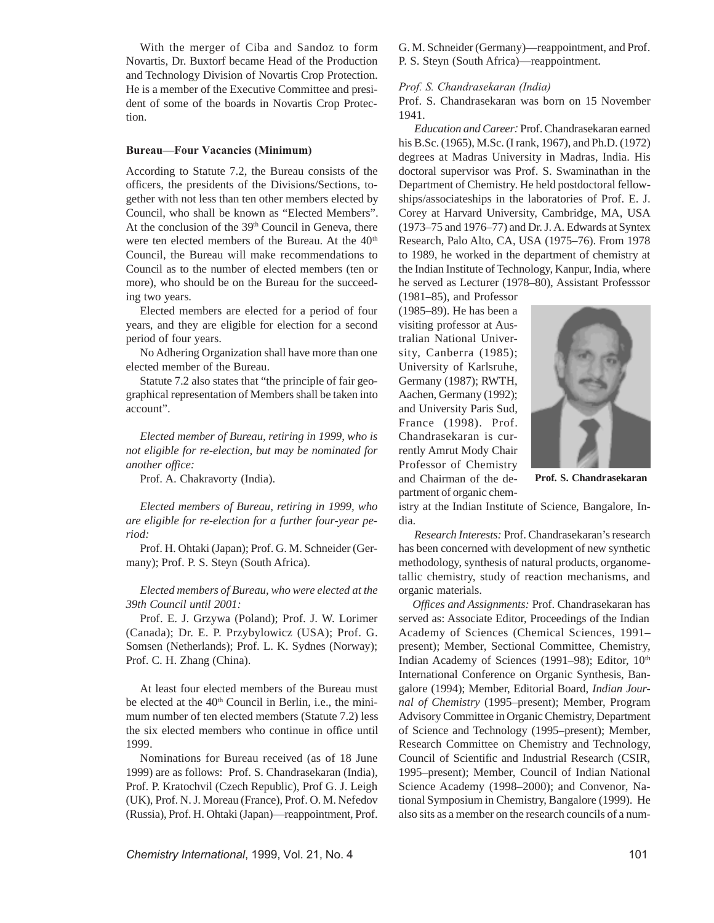With the merger of Ciba and Sandoz to form Novartis, Dr. Buxtorf became Head of the Production and Technology Division of Novartis Crop Protection. He is a member of the Executive Committee and president of some of the boards in Novartis Crop Protection.

#### Bureau—Four Vacancies (Minimum)

According to Statute 7.2, the Bureau consists of the officers, the presidents of the Divisions/Sections, together with not less than ten other members elected by Council, who shall be known as "Elected Members". At the conclusion of the  $39<sup>th</sup>$  Council in Geneva, there were ten elected members of the Bureau. At the 40<sup>th</sup> Council, the Bureau will make recommendations to Council as to the number of elected members (ten or more), who should be on the Bureau for the succeeding two years.

Elected members are elected for a period of four years, and they are eligible for election for a second period of four years.

No Adhering Organization shall have more than one elected member of the Bureau.

Statute 7.2 also states that "the principle of fair geographical representation of Members shall be taken into account".

*Elected member of Bureau, retiring in 1999, who is not eligible for re-election, but may be nominated for another office:*

Prof. A. Chakravorty (India).

*Elected members of Bureau, retiring in 1999, who are eligible for re-election for a further four-year period:*

Prof. H. Ohtaki (Japan); Prof. G. M. Schneider (Germany); Prof. P. S. Steyn (South Africa).

*Elected members of Bureau, who were elected at the 39th Council until 2001:*

Prof. E. J. Grzywa (Poland); Prof. J. W. Lorimer (Canada); Dr. E. P. Przybylowicz (USA); Prof. G. Somsen (Netherlands); Prof. L. K. Sydnes (Norway); Prof. C. H. Zhang (China).

At least four elected members of the Bureau must be elected at the 40<sup>th</sup> Council in Berlin, i.e., the minimum number of ten elected members (Statute 7.2) less the six elected members who continue in office until 1999.

Nominations for Bureau received (as of 18 June 1999) are as follows: Prof. S. Chandrasekaran (India), Prof. P. Kratochvil (Czech Republic), Prof G. J. Leigh (UK), Prof. N. J. Moreau (France), Prof. O. M. Nefedov (Russia), Prof. H. Ohtaki (Japan)—reappointment, Prof. G. M. Schneider (Germany)—reappointment, and Prof. P. S. Steyn (South Africa)—reappointment.

#### Prof. S. Chandrasekaran (India)

Prof. S. Chandrasekaran was born on 15 November 1941.

*Education and Career*: Prof. Chandrasekaran earned his B.Sc. (1965), M.Sc. (I rank, 1967), and Ph.D. (1972) degrees at Madras University in Madras, India. His doctoral supervisor was Prof. S. Swaminathan in the Department of Chemistry. He held postdoctoral fellowships/associateships in the laboratories of Prof. E. J. Corey at Harvard University, Cambridge, MA, USA (1973–75 and 1976–77) and Dr. J. A. Edwards at Syntex Research, Palo Alto, CA, USA (1975–76). From 1978 to 1989, he worked in the department of chemistry at the Indian Institute of Technology, Kanpur, India, where he served as Lecturer (1978–80), Assistant Professsor

(1981–85), and Professor (1985–89). He has been a visiting professor at Australian National University, Canberra (1985); University of Karlsruhe, Germany (1987); RWTH, Aachen, Germany (1992); and University Paris Sud, France (1998). Prof. Chandrasekaran is currently Amrut Mody Chair Professor of Chemistry and Chairman of the department of organic chem-



**Prof. S. Chandrasekaran**

istry at the Indian Institute of Science, Bangalore, India.

*Research Interests:* Prof. Chandrasekaran's research has been concerned with development of new synthetic methodology, synthesis of natural products, organometallic chemistry, study of reaction mechanisms, and organic materials.

*Offices and Assignments:* Prof. Chandrasekaran has served as: Associate Editor, Proceedings of the Indian Academy of Sciences (Chemical Sciences, 1991– present); Member, Sectional Committee, Chemistry, Indian Academy of Sciences (1991–98); Editor, 10<sup>th</sup> International Conference on Organic Synthesis, Bangalore (1994); Member, Editorial Board, *Indian Journal of Chemistry* (1995–present); Member, Program Advisory Committee in Organic Chemistry, Department of Science and Technology (1995–present); Member, Research Committee on Chemistry and Technology, Council of Scientific and Industrial Research (CSIR, 1995–present); Member, Council of Indian National Science Academy (1998–2000); and Convenor, National Symposium in Chemistry, Bangalore (1999). He also sits as a member on the research councils of a num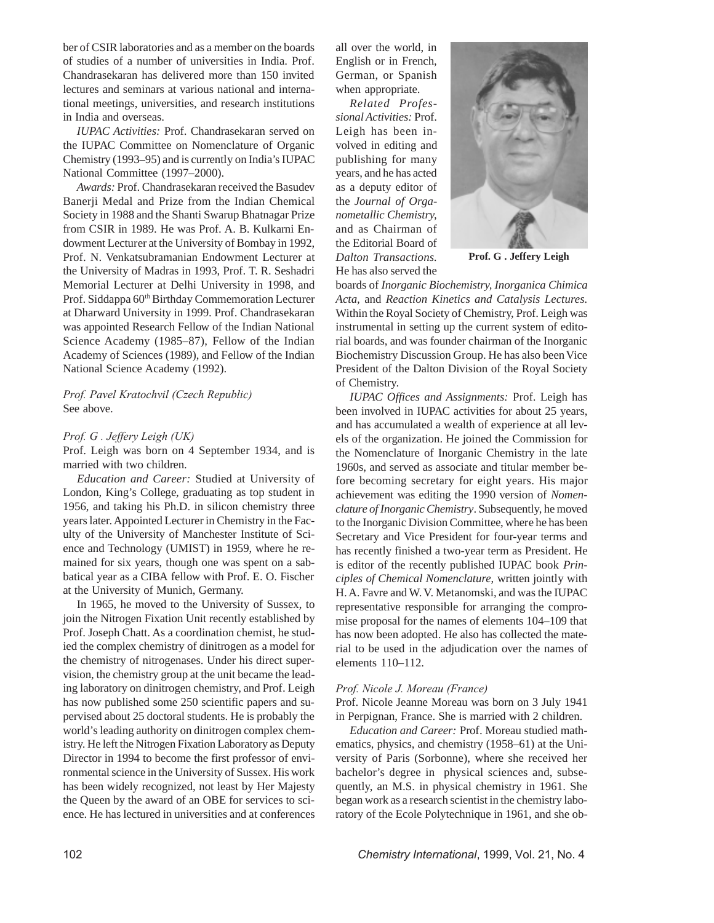ber of CSIR laboratories and as a member on the boards of studies of a number of universities in India. Prof. Chandrasekaran has delivered more than 150 invited lectures and seminars at various national and international meetings, universities, and research institutions in India and overseas.

*IUPAC Activities:* Prof. Chandrasekaran served on the IUPAC Committee on Nomenclature of Organic Chemistry (1993–95) and is currently on India's IUPAC National Committee (1997–2000).

*Awards:* Prof. Chandrasekaran received the Basudev Banerji Medal and Prize from the Indian Chemical Society in 1988 and the Shanti Swarup Bhatnagar Prize from CSIR in 1989. He was Prof. A. B. Kulkarni Endowment Lecturer at the University of Bombay in 1992, Prof. N. Venkatsubramanian Endowment Lecturer at the University of Madras in 1993, Prof. T. R. Seshadri Memorial Lecturer at Delhi University in 1998, and Prof. Siddappa 60<sup>th</sup> Birthday Commemoration Lecturer at Dharward University in 1999. Prof. Chandrasekaran was appointed Research Fellow of the Indian National Science Academy (1985–87), Fellow of the Indian Academy of Sciences (1989), and Fellow of the Indian National Science Academy (1992).

Prof. Pavel Kratochvil (Czech Republic) See above.

#### Prof. G . Jeffery Leigh (UK)

Prof. Leigh was born on 4 September 1934, and is married with two children.

*Education and Career:* Studied at University of London, King's College, graduating as top student in 1956, and taking his Ph.D. in silicon chemistry three years later. Appointed Lecturer in Chemistry in the Faculty of the University of Manchester Institute of Science and Technology (UMIST) in 1959, where he remained for six years, though one was spent on a sabbatical year as a CIBA fellow with Prof. E. O. Fischer at the University of Munich, Germany.

In 1965, he moved to the University of Sussex, to join the Nitrogen Fixation Unit recently established by Prof. Joseph Chatt. As a coordination chemist, he studied the complex chemistry of dinitrogen as a model for the chemistry of nitrogenases. Under his direct supervision, the chemistry group at the unit became the leading laboratory on dinitrogen chemistry, and Prof. Leigh has now published some 250 scientific papers and supervised about 25 doctoral students. He is probably the world's leading authority on dinitrogen complex chemistry. He left the Nitrogen Fixation Laboratory as Deputy Director in 1994 to become the first professor of environmental science in the University of Sussex. His work has been widely recognized, not least by Her Majesty the Queen by the award of an OBE for services to science. He has lectured in universities and at conferences all over the world, in English or in French, German, or Spanish when appropriate.

*Related Professional Activities:* Prof. Leigh has been involved in editing and publishing for many years, and he has acted as a deputy editor of the *Journal of Organometallic Chemistry,* and as Chairman of the Editorial Board of *Dalton Transactions.* He has also served the



**Prof. G . Jeffery Leigh**

boards of *Inorganic Biochemistry, Inorganica Chimica Acta,* and *Reaction Kinetics and Catalysis Lectures.* Within the Royal Society of Chemistry, Prof. Leigh was instrumental in setting up the current system of editorial boards, and was founder chairman of the Inorganic Biochemistry Discussion Group. He has also been Vice President of the Dalton Division of the Royal Society of Chemistry.

*IUPAC Offices and Assignments:* Prof. Leigh has been involved in IUPAC activities for about 25 years, and has accumulated a wealth of experience at all levels of the organization. He joined the Commission for the Nomenclature of Inorganic Chemistry in the late 1960s, and served as associate and titular member before becoming secretary for eight years. His major achievement was editing the 1990 version of *Nomenclature of Inorganic Chemistry*. Subsequently, he moved to the Inorganic Division Committee, where he has been Secretary and Vice President for four-year terms and has recently finished a two-year term as President. He is editor of the recently published IUPAC book *Principles of Chemical Nomenclature*, written jointly with H. A. Favre and W. V. Metanomski, and was the IUPAC representative responsible for arranging the compromise proposal for the names of elements 104–109 that has now been adopted. He also has collected the material to be used in the adjudication over the names of elements 110–112.

#### Prof. Nicole J. Moreau (France)

Prof. Nicole Jeanne Moreau was born on 3 July 1941 in Perpignan, France. She is married with 2 children.

*Education and Career:* Prof. Moreau studied mathematics, physics, and chemistry (1958–61) at the University of Paris (Sorbonne), where she received her bachelor's degree in physical sciences and, subsequently, an M.S. in physical chemistry in 1961. She began work as a research scientist in the chemistry laboratory of the Ecole Polytechnique in 1961, and she ob-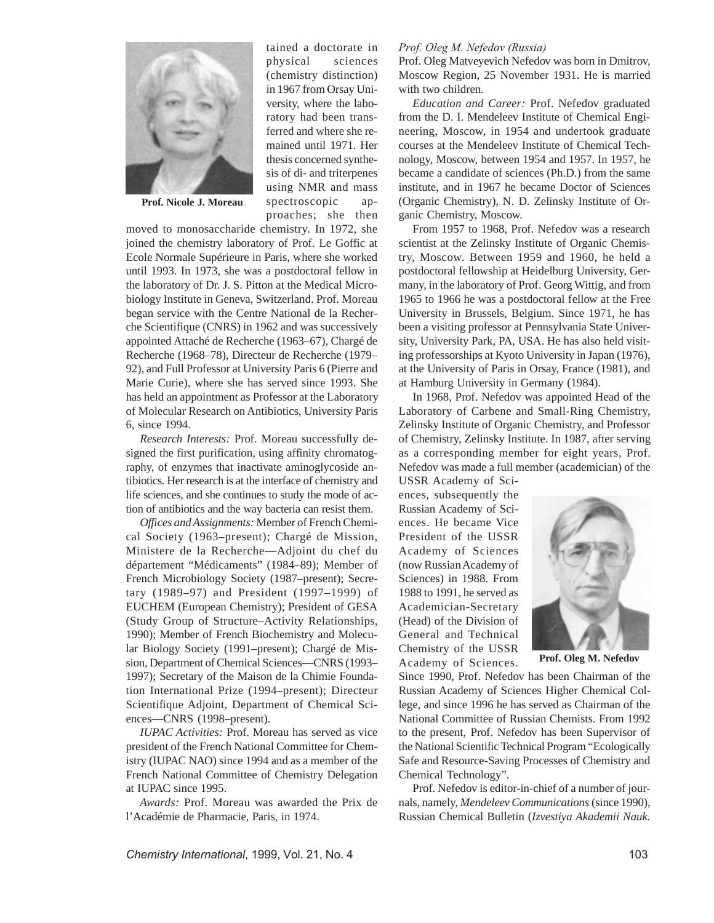

**Prof. Nicole J. Moreau**

tained a doctorate in physical sciences (chemistry distinction) in 1967 from Orsay University, where the laboratory had been transferred and where she remained until 1971. Her thesis concerned synthesis of di- and triterpenes using NMR and mass spectroscopic approaches; she then

moved to monosaccharide chemistry. In 1972, she joined the chemistry laboratory of Prof. Le Goffic at Ecole Normale Supérieure in Paris, where she worked until 1993. In 1973, she was a postdoctoral fellow in the laboratory of Dr. J. S. Pitton at the Medical Microbiology Institute in Geneva, Switzerland. Prof. Moreau began service with the Centre National de la Recherche Scientifique (CNRS) in 1962 and was successively appointed Attaché de Recherche (1963–67), Chargé de Recherche (1968–78), Directeur de Recherche (1979– 92), and Full Professor at University Paris 6 (Pierre and Marie Curie), where she has served since 1993. She has held an appointment as Professor at the Laboratory of Molecular Research on Antibiotics, University Paris 6, since 1994.

*Research Interests:* Prof. Moreau successfully designed the first purification, using affinity chromatography, of enzymes that inactivate aminoglycoside antibiotics. Her research is at the interface of chemistry and life sciences, and she continues to study the mode of action of antibiotics and the way bacteria can resist them.

*Offices and Assignments:* Member of French Chemical Society (1963–present); Chargé de Mission, Ministere de la Recherche—Adjoint du chef du département "Médicaments" (1984–89); Member of French Microbiology Society (1987–present); Secretary (1989–97) and President (1997–1999) of EUCHEM (European Chemistry); President of GESA (Study Group of Structure–Activity Relationships, 1990); Member of French Biochemistry and Molecular Biology Society (1991–present); Chargé de Mission, Department of Chemical Sciences—CNRS (1993– 1997); Secretary of the Maison de la Chimie Foundation International Prize (1994–present); Directeur Scientifique Adjoint, Department of Chemical Sciences—CNRS (1998–present).

*IUPAC Activities:* Prof. Moreau has served as vice president of the French National Committee for Chemistry (IUPAC NAO) since 1994 and as a member of the French National Committee of Chemistry Delegation at IUPAC since 1995.

*Awards:* Prof. Moreau was awarded the Prix de l'Académie de Pharmacie, Paris, in 1974.

#### Prof. Oleg M. Nefedov (Russia)

Prof. Oleg Matveyevich Nefedov was born in Dmitrov, Moscow Region, 25 November 1931. He is married with two children.

*Education and Career:* Prof. Nefedov graduated from the D. I. Mendeleev Institute of Chemical Engineering, Moscow, in 1954 and undertook graduate courses at the Mendeleev Institute of Chemical Technology, Moscow, between 1954 and 1957. In 1957, he became a candidate of sciences (Ph.D.) from the same institute, and in 1967 he became Doctor of Sciences (Organic Chemistry), N. D. Zelinsky Institute of Organic Chemistry, Moscow.

From 1957 to 1968, Prof. Nefedov was a research scientist at the Zelinsky Institute of Organic Chemistry, Moscow. Between 1959 and 1960, he held a postdoctoral fellowship at Heidelburg University, Germany, in the laboratory of Prof. Georg Wittig, and from 1965 to 1966 he was a postdoctoral fellow at the Free University in Brussels, Belgium. Since 1971, he has been a visiting professor at Pennsylvania State University, University Park, PA, USA. He has also held visiting professorships at Kyoto University in Japan (1976), at the University of Paris in Orsay, France (1981), and at Hamburg University in Germany (1984).

In 1968, Prof. Nefedov was appointed Head of the Laboratory of Carbene and Small-Ring Chemistry, Zelinsky Institute of Organic Chemistry, and Professor of Chemistry, Zelinsky Institute. In 1987, after serving as a corresponding member for eight years, Prof. Nefedov was made a full member (academician) of the

USSR Academy of Sciences, subsequently the Russian Academy of Sciences. He became Vice President of the USSR Academy of Sciences (now Russian Academy of Sciences) in 1988. From 1988 to 1991, he served as Academician-Secretary (Head) of the Division of General and Technical Chemistry of the USSR Academy of Sciences.



**Prof. Oleg M. Nefedov**

Since 1990, Prof. Nefedov has been Chairman of the Russian Academy of Sciences Higher Chemical College, and since 1996 he has served as Chairman of the National Committee of Russian Chemists. From 1992 to the present, Prof. Nefedov has been Supervisor of the National Scientific Technical Program "Ecologically Safe and Resource-Saving Processes of Chemistry and Chemical Technology".

Prof. Nefedov is editor-in-chief of a number of journals, namely, *Mendeleev Communications* (since 1990), Russian Chemical Bulletin (*Izvestiya Akademii Nauk.*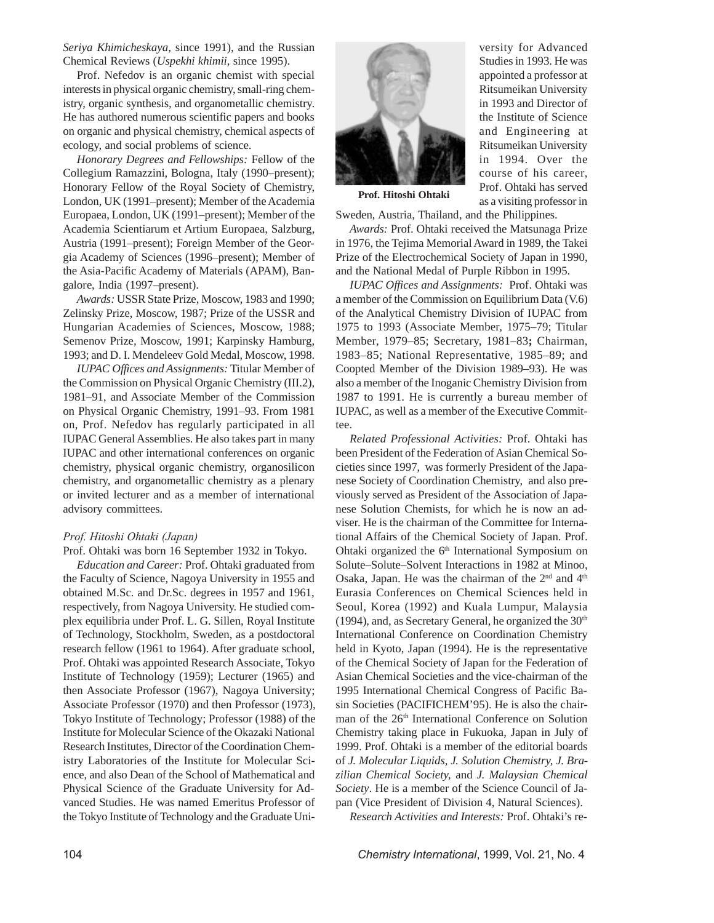*Seriya Khimicheskaya,* since 1991), and the Russian Chemical Reviews (*Uspekhi khimii,* since 1995).

Prof. Nefedov is an organic chemist with special interests in physical organic chemistry, small-ring chemistry, organic synthesis, and organometallic chemistry. He has authored numerous scientific papers and books on organic and physical chemistry, chemical aspects of ecology, and social problems of science.

*Honorary Degrees and Fellowships:* Fellow of the Collegium Ramazzini, Bologna, Italy (1990–present); Honorary Fellow of the Royal Society of Chemistry, London, UK (1991–present); Member of the Academia Europaea, London, UK (1991–present); Member of the Academia Scientiarum et Artium Europaea, Salzburg, Austria (1991–present); Foreign Member of the Georgia Academy of Sciences (1996–present); Member of the Asia-Pacific Academy of Materials (APAM), Bangalore, India (1997–present).

*Awards:* USSR State Prize, Moscow, 1983 and 1990; Zelinsky Prize, Moscow, 1987; Prize of the USSR and Hungarian Academies of Sciences, Moscow, 1988; Semenov Prize, Moscow, 1991; Karpinsky Hamburg, 1993; and D. I. Mendeleev Gold Medal, Moscow, 1998.

*IUPAC Offices and Assignments:* Titular Member of the Commission on Physical Organic Chemistry (III.2), 1981–91, and Associate Member of the Commission on Physical Organic Chemistry, 1991–93. From 1981 on, Prof. Nefedov has regularly participated in all IUPAC General Assemblies. He also takes part in many IUPAC and other international conferences on organic chemistry, physical organic chemistry, organosilicon chemistry, and organometallic chemistry as a plenary or invited lecturer and as a member of international advisory committees.

#### Prof. Hitoshi Ohtaki (Japan)

Prof. Ohtaki was born 16 September 1932 in Tokyo.

*Education and Career:* Prof. Ohtaki graduated from the Faculty of Science, Nagoya University in 1955 and obtained M.Sc. and Dr.Sc. degrees in 1957 and 1961, respectively, from Nagoya University. He studied complex equilibria under Prof. L. G. Sillen, Royal Institute of Technology, Stockholm, Sweden, as a postdoctoral research fellow (1961 to 1964). After graduate school, Prof. Ohtaki was appointed Research Associate, Tokyo Institute of Technology (1959); Lecturer (1965) and then Associate Professor (1967), Nagoya University; Associate Professor (1970) and then Professor (1973), Tokyo Institute of Technology; Professor (1988) of the Institute for Molecular Science of the Okazaki National Research Institutes, Director of the Coordination Chemistry Laboratories of the Institute for Molecular Science, and also Dean of the School of Mathematical and Physical Science of the Graduate University for Advanced Studies. He was named Emeritus Professor of the Tokyo Institute of Technology and the Graduate Uni-



versity for Advanced Studies in 1993. He was appointed a professor at Ritsumeikan University in 1993 and Director of the Institute of Science and Engineering at Ritsumeikan University in 1994. Over the course of his career, Prof. Ohtaki has served as a visiting professor in

**Prof. Hitoshi Ohtaki**

Sweden, Austria, Thailand, and the Philippines. *Awards:* Prof. Ohtaki received the Matsunaga Prize in 1976, the Tejima Memorial Award in 1989, the Takei Prize of the Electrochemical Society of Japan in 1990, and the National Medal of Purple Ribbon in 1995.

*IUPAC Offices and Assignments:* Prof. Ohtaki was a member of the Commission on Equilibrium Data (V.6) of the Analytical Chemistry Division of IUPAC from 1975 to 1993 (Associate Member, 1975–79; Titular Member, 1979–85; Secretary, 1981–83**;** Chairman, 1983–85; National Representative, 1985–89; and Coopted Member of the Division 1989–93). He was also a member of the Inoganic Chemistry Division from 1987 to 1991. He is currently a bureau member of IUPAC, as well as a member of the Executive Committee.

*Related Professional Activities:* Prof. Ohtaki has been President of the Federation of Asian Chemical Societies since 1997, was formerly President of the Japanese Society of Coordination Chemistry, and also previously served as President of the Association of Japanese Solution Chemists, for which he is now an adviser. He is the chairman of the Committee for International Affairs of the Chemical Society of Japan. Prof. Ohtaki organized the 6<sup>th</sup> International Symposium on Solute–Solute–Solvent Interactions in 1982 at Minoo, Osaka, Japan. He was the chairman of the  $2<sup>nd</sup>$  and  $4<sup>th</sup>$ Eurasia Conferences on Chemical Sciences held in Seoul, Korea (1992) and Kuala Lumpur, Malaysia (1994), and, as Secretary General, he organized the  $30<sup>th</sup>$ International Conference on Coordination Chemistry held in Kyoto, Japan (1994). He is the representative of the Chemical Society of Japan for the Federation of Asian Chemical Societies and the vice-chairman of the 1995 International Chemical Congress of Pacific Basin Societies (PACIFICHEM'95). He is also the chairman of the 26<sup>th</sup> International Conference on Solution Chemistry taking place in Fukuoka, Japan in July of 1999. Prof. Ohtaki is a member of the editorial boards of *J. Molecular Liquids, J. Solution Chemistry, J. Brazilian Chemical Society,* and *J. Malaysian Chemical Society*. He is a member of the Science Council of Japan (Vice President of Division 4, Natural Sciences).

*Research Activities and Interests:* Prof. Ohtaki's re-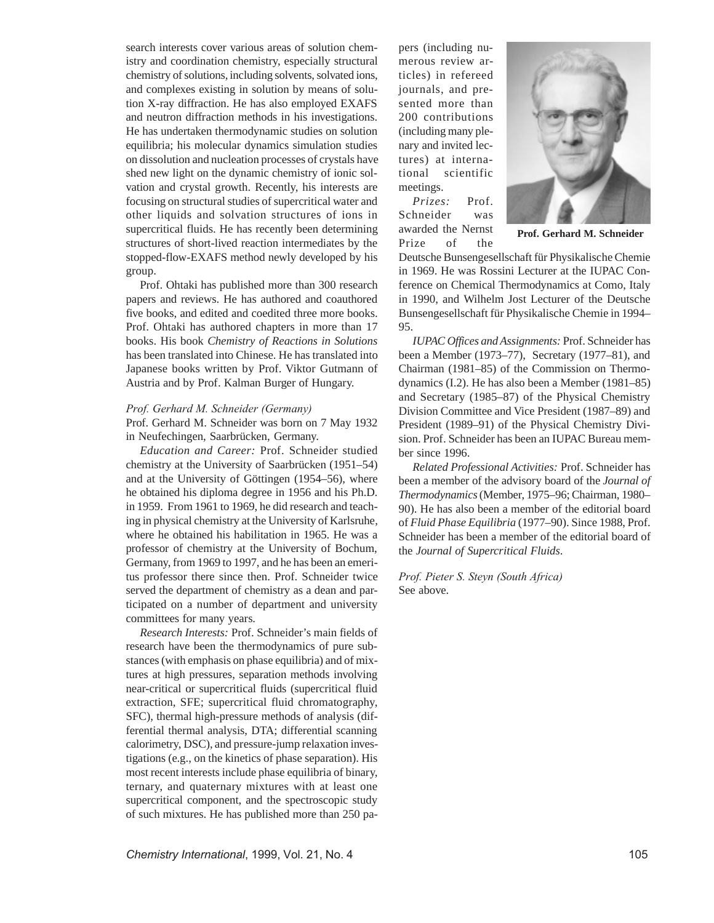search interests cover various areas of solution chemistry and coordination chemistry, especially structural chemistry of solutions, including solvents, solvated ions, and complexes existing in solution by means of solution X-ray diffraction. He has also employed EXAFS and neutron diffraction methods in his investigations. He has undertaken thermodynamic studies on solution equilibria; his molecular dynamics simulation studies on dissolution and nucleation processes of crystals have shed new light on the dynamic chemistry of ionic solvation and crystal growth. Recently, his interests are focusing on structural studies of supercritical water and other liquids and solvation structures of ions in supercritical fluids. He has recently been determining structures of short-lived reaction intermediates by the stopped-flow-EXAFS method newly developed by his group.

Prof. Ohtaki has published more than 300 research papers and reviews. He has authored and coauthored five books, and edited and coedited three more books. Prof. Ohtaki has authored chapters in more than 17 books. His book *Chemistry of Reactions in Solutions* has been translated into Chinese. He has translated into Japanese books written by Prof. Viktor Gutmann of Austria and by Prof. Kalman Burger of Hungary.

#### Prof. Gerhard M. Schneider (Germany)

Prof. Gerhard M. Schneider was born on 7 May 1932 in Neufechingen, Saarbrücken, Germany.

*Education and Career:* Prof. Schneider studied chemistry at the University of Saarbrücken (1951–54) and at the University of Göttingen (1954–56), where he obtained his diploma degree in 1956 and his Ph.D*.* in 1959. From 1961 to 1969, he did research and teaching in physical chemistry at the University of Karlsruhe, where he obtained his habilitation in 1965. He was a professor of chemistry at the University of Bochum, Germany, from 1969 to 1997, and he has been an emeritus professor there since then. Prof. Schneider twice served the department of chemistry as a dean and participated on a number of department and university committees for many years.

*Research Interests:* Prof. Schneider's main fields of research have been the thermodynamics of pure substances (with emphasis on phase equilibria) and of mixtures at high pressures, separation methods involving near-critical or supercritical fluids (supercritical fluid extraction, SFE; supercritical fluid chromatography, SFC), thermal high-pressure methods of analysis (differential thermal analysis, DTA; differential scanning calorimetry, DSC), and pressure-jump relaxation investigations (e.g., on the kinetics of phase separation). His most recent interests include phase equilibria of binary, ternary, and quaternary mixtures with at least one supercritical component, and the spectroscopic study of such mixtures. He has published more than 250 pa-

pers (including numerous review articles) in refereed journals, and presented more than 200 contributions (including many plenary and invited lectures) at international scientific meetings.

*Prizes:* Prof. Schneider was awarded the Nernst Prize of the



**Prof. Gerhard M. Schneider**

Deutsche Bunsengesellschaft für Physikalische Chemie in 1969. He was Rossini Lecturer at the IUPAC Conference on Chemical Thermodynamics at Como, Italy in 1990, and Wilhelm Jost Lecturer of the Deutsche Bunsengesellschaft für Physikalische Chemie in 1994– 95.

*IUPAC Offices and Assignments:* Prof. Schneider has been a Member (1973–77), Secretary (1977–81), and Chairman (1981–85) of the Commission on Thermodynamics (I.2). He has also been a Member (1981–85) and Secretary (1985–87) of the Physical Chemistry Division Committee and Vice President (1987–89) and President (1989–91) of the Physical Chemistry Division. Prof. Schneider has been an IUPAC Bureau member since 1996.

*Related Professional Activities:* Prof. Schneider has been a member of the advisory board of the *Journal of Thermodynamics* (Member, 1975–96; Chairman, 1980– 90). He has also been a member of the editorial board of *Fluid Phase Equilibria* (1977–90). Since 1988, Prof. Schneider has been a member of the editorial board of the *Journal of Supercritical Fluids*.

Prof. Pieter S. Steyn (South Africa) See above.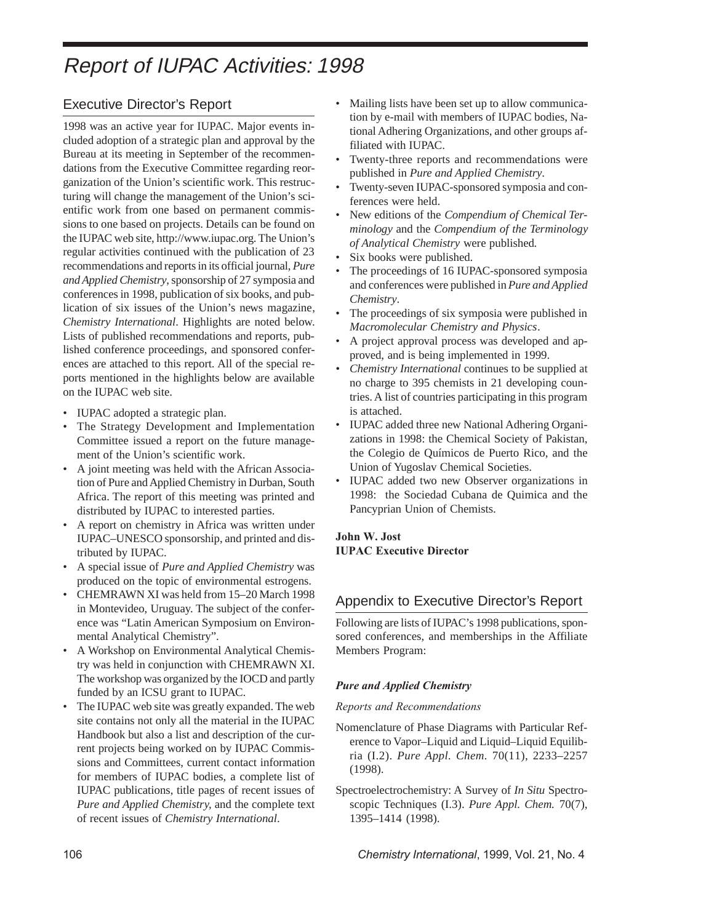# Report of IUPAC Activities: 1998

## Executive Director's Report

1998 was an active year for IUPAC. Major events included adoption of a strategic plan and approval by the Bureau at its meeting in September of the recommendations from the Executive Committee regarding reorganization of the Union's scientific work. This restructuring will change the management of the Union's scientific work from one based on permanent commissions to one based on projects. Details can be found on the IUPAC web site, http://www.iupac.org. The Union's regular activities continued with the publication of 23 recommendations and reports in its official journal, *Pure and Applied Chemistry*, sponsorship of 27 symposia and conferences in 1998, publication of six books, and publication of six issues of the Union's news magazine, *Chemistry International*. Highlights are noted below. Lists of published recommendations and reports, published conference proceedings, and sponsored conferences are attached to this report. All of the special reports mentioned in the highlights below are available on the IUPAC web site.

- IUPAC adopted a strategic plan.
- The Strategy Development and Implementation Committee issued a report on the future management of the Union's scientific work.
- A joint meeting was held with the African Association of Pure and Applied Chemistry in Durban, South Africa. The report of this meeting was printed and distributed by IUPAC to interested parties.
- A report on chemistry in Africa was written under IUPAC–UNESCO sponsorship, and printed and distributed by IUPAC.
- A special issue of *Pure and Applied Chemistry* was produced on the topic of environmental estrogens.
- CHEMRAWN XI was held from 15–20 March 1998 in Montevideo, Uruguay. The subject of the conference was "Latin American Symposium on Environmental Analytical Chemistry".
- A Workshop on Environmental Analytical Chemistry was held in conjunction with CHEMRAWN XI. The workshop was organized by the IOCD and partly funded by an ICSU grant to IUPAC.
- The IUPAC web site was greatly expanded. The web site contains not only all the material in the IUPAC Handbook but also a list and description of the current projects being worked on by IUPAC Commissions and Committees, current contact information for members of IUPAC bodies, a complete list of IUPAC publications, title pages of recent issues of *Pure and Applied Chemistry,* and the complete text of recent issues of *Chemistry International*.
- Mailing lists have been set up to allow communication by e-mail with members of IUPAC bodies, National Adhering Organizations, and other groups affiliated with IUPAC.
- Twenty-three reports and recommendations were published in *Pure and Applied Chemistry*.
- Twenty-seven IUPAC-sponsored symposia and conferences were held.
- New editions of the *Compendium of Chemical Terminology* and the *Compendium of the Terminology of Analytical Chemistry* were published.
- Six books were published.
- The proceedings of 16 IUPAC-sponsored symposia and conferences were published in *Pure and Applied Chemistry*.
- The proceedings of six symposia were published in *Macromolecular Chemistry and Physics*.
- A project approval process was developed and approved, and is being implemented in 1999.
- *Chemistry International* continues to be supplied at no charge to 395 chemists in 21 developing countries. A list of countries participating in this program is attached.
- IUPAC added three new National Adhering Organizations in 1998: the Chemical Society of Pakistan, the Colegio de Químicos de Puerto Rico, and the Union of Yugoslav Chemical Societies.
- IUPAC added two new Observer organizations in 1998: the Sociedad Cubana de Quimica and the Pancyprian Union of Chemists.

## John W. Jost IUPAC Executive Director

## Appendix to Executive Director's Report

Following are lists of IUPAC's 1998 publications, sponsored conferences, and memberships in the Affiliate Members Program:

## Pure and Applied Chemistry

## Reports and Recommendations

- Nomenclature of Phase Diagrams with Particular Reference to Vapor–Liquid and Liquid–Liquid Equilibria (I.2). *Pure Appl. Chem.* 70(11), 2233–2257 (1998).
- Spectroelectrochemistry: A Survey of *In Situ* Spectroscopic Techniques (I.3). *Pure Appl. Chem.* 70(7), 1395–1414 (1998).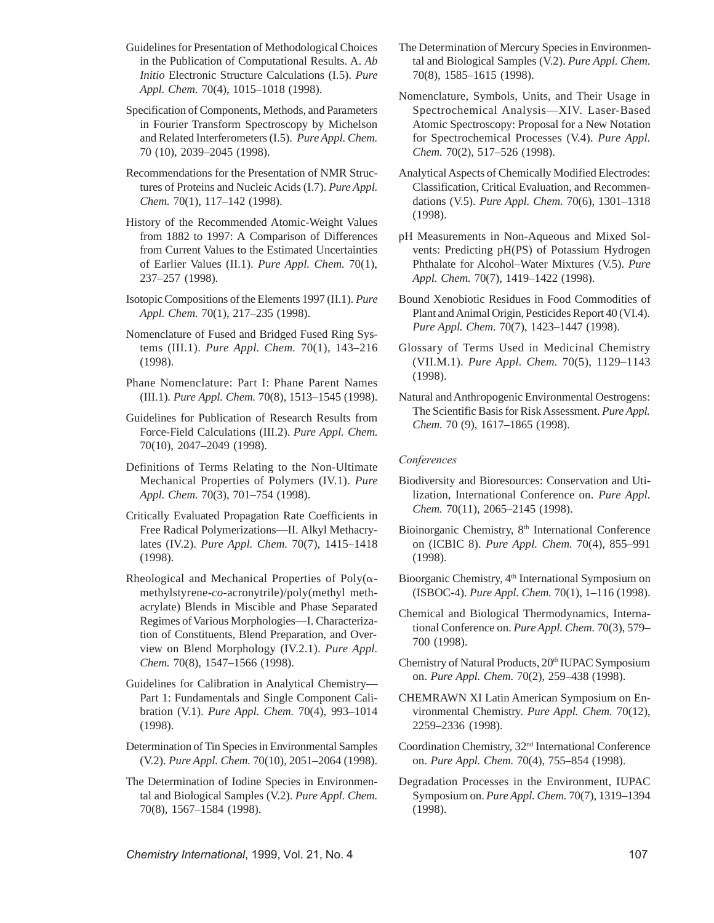- Guidelines for Presentation of Methodological Choices in the Publication of Computational Results. A. *Ab Initio* Electronic Structure Calculations (I.5). *Pure Appl. Chem.* 70(4), 1015–1018 (1998).
- Specification of Components, Methods, and Parameters in Fourier Transform Spectroscopy by Michelson and Related Interferometers (I.5). *Pure Appl. Chem.* 70 (10), 2039–2045 (1998).
- Recommendations for the Presentation of NMR Structures of Proteins and Nucleic Acids (I.7). *Pure Appl. Chem.* 70(1), 117–142 (1998).
- History of the Recommended Atomic-Weight Values from 1882 to 1997: A Comparison of Differences from Current Values to the Estimated Uncertainties of Earlier Values (II.1). *Pure Appl. Chem.* 70(1), 237–257 (1998).
- Isotopic Compositions of the Elements 1997 (II.1). *Pure Appl. Chem.* 70(1), 217–235 (1998).
- Nomenclature of Fused and Bridged Fused Ring Systems (III.1). *Pure Appl. Chem.* 70(1), 143–216 (1998).
- Phane Nomenclature: Part I: Phane Parent Names (III.1). *Pure Appl. Chem.* 70(8), 1513–1545 (1998).
- Guidelines for Publication of Research Results from Force-Field Calculations (III.2). *Pure Appl. Chem.* 70(10), 2047–2049 (1998).
- Definitions of Terms Relating to the Non-Ultimate Mechanical Properties of Polymers (IV.1). *Pure Appl. Chem.* 70(3), 701–754 (1998).
- Critically Evaluated Propagation Rate Coefficients in Free Radical Polymerizations—II. Alkyl Methacrylates (IV.2). *Pure Appl. Chem.* 70(7), 1415–1418 (1998).
- Rheological and Mechanical Properties of Poly $(\alpha$ methylstyrene-*co*-acronytrile)/poly(methyl methacrylate) Blends in Miscible and Phase Separated Regimes of Various Morphologies—I. Characterization of Constituents, Blend Preparation, and Overview on Blend Morphology (IV.2.1). *Pure Appl. Chem.* 70(8), 1547–1566 (1998).
- Guidelines for Calibration in Analytical Chemistry— Part 1: Fundamentals and Single Component Calibration (V.1). *Pure Appl. Chem.* 70(4), 993–1014 (1998).
- Determination of Tin Species in Environmental Samples (V.2). *Pure Appl. Chem.* 70(10), 2051–2064 (1998).
- The Determination of Iodine Species in Environmental and Biological Samples (V.2). *Pure Appl. Chem.* 70(8), 1567–1584 (1998).
- The Determination of Mercury Species in Environmental and Biological Samples (V.2). *Pure Appl. Chem.* 70(8), 1585–1615 (1998).
- Nomenclature, Symbols, Units, and Their Usage in Spectrochemical Analysis—XIV. Laser-Based Atomic Spectroscopy: Proposal for a New Notation for Spectrochemical Processes (V.4). *Pure Appl. Chem.* 70(2), 517–526 (1998).
- Analytical Aspects of Chemically Modified Electrodes: Classification, Critical Evaluation, and Recommendations (V.5). *Pure Appl. Chem.* 70(6), 1301–1318 (1998).
- pH Measurements in Non-Aqueous and Mixed Solvents: Predicting pH(PS) of Potassium Hydrogen Phthalate for Alcohol–Water Mixtures (V.5). *Pure Appl. Chem.* 70(7), 1419–1422 (1998).
- Bound Xenobiotic Residues in Food Commodities of Plant and Animal Origin, Pesticides Report 40 (VI.4). *Pure Appl. Chem.* 70(7), 1423–1447 (1998).
- Glossary of Terms Used in Medicinal Chemistry (VII.M.1). *Pure Appl. Chem.* 70(5), 1129–1143 (1998).
- Natural and Anthropogenic Environmental Oestrogens: The Scientific Basis for Risk Assessment. *Pure Appl. Chem.* 70 (9), 1617–1865 (1998).

#### **Conferences**

- Biodiversity and Bioresources: Conservation and Utilization, International Conference on. *Pure Appl. Chem.* 70(11), 2065–2145 (1998).
- Bioinorganic Chemistry, 8<sup>th</sup> International Conference on (ICBIC 8). *Pure Appl. Chem.* 70(4), 855–991 (1998).
- Bioorganic Chemistry, 4<sup>th</sup> International Symposium on (ISBOC-4). *Pure Appl. Chem.* 70(1), 1–116 (1998).
- Chemical and Biological Thermodynamics, International Conference on. *Pure Appl. Chem.* 70(3), 579– 700 (1998).
- Chemistry of Natural Products, 20<sup>th</sup> IUPAC Symposium on. *Pure Appl. Chem.* 70(2), 259–438 (1998).
- CHEMRAWN XI Latin American Symposium on Environmental Chemistry. *Pure Appl. Chem.* 70(12), 2259–2336 (1998).
- Coordination Chemistry, 32nd International Conference on. *Pure Appl. Chem.* 70(4), 755–854 (1998).
- Degradation Processes in the Environment, IUPAC Symposium on. *Pure Appl. Chem.* 70(7), 1319–1394 (1998).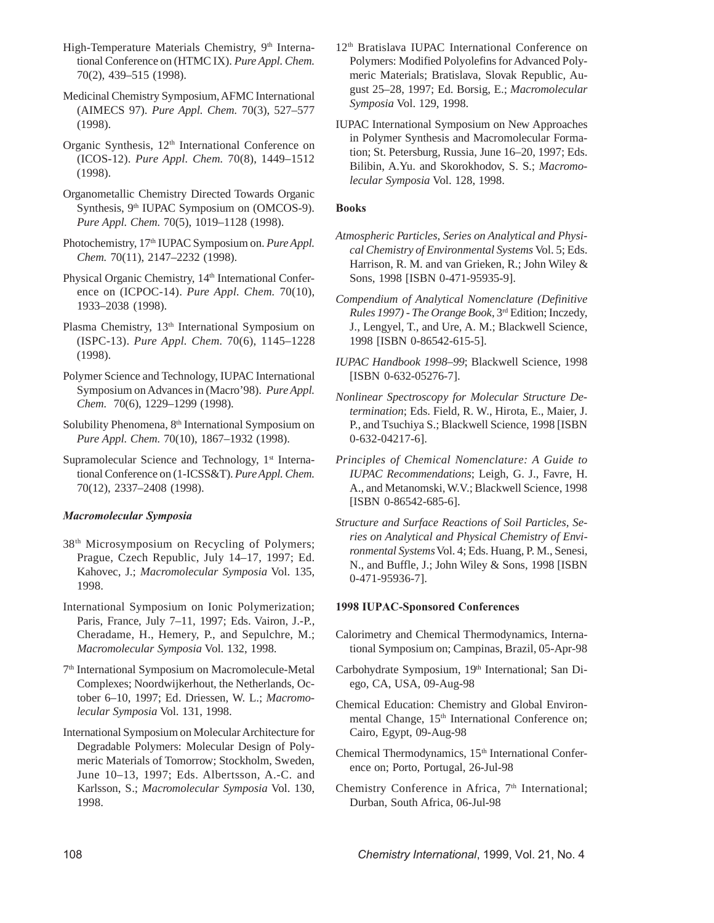- High-Temperature Materials Chemistry, 9<sup>th</sup> International Conference on (HTMC IX). *Pure Appl. Chem.* 70(2), 439–515 (1998).
- Medicinal Chemistry Symposium, AFMC International (AIMECS 97). *Pure Appl. Chem.* 70(3), 527–577 (1998).
- Organic Synthesis, 12<sup>th</sup> International Conference on (ICOS-12). *Pure Appl. Chem.* 70(8), 1449–1512 (1998).
- Organometallic Chemistry Directed Towards Organic Synthesis, 9<sup>th</sup> IUPAC Symposium on (OMCOS-9). *Pure Appl. Chem.* 70(5), 1019–1128 (1998).
- Photochemistry, 17<sup>th</sup> IUPAC Symposium on. Pure Appl. *Chem.* 70(11), 2147–2232 (1998).
- Physical Organic Chemistry, 14<sup>th</sup> International Conference on (ICPOC-14). *Pure Appl. Chem.* 70(10), 1933–2038 (1998).
- Plasma Chemistry, 13<sup>th</sup> International Symposium on (ISPC-13). *Pure Appl. Chem.* 70(6), 1145–1228 (1998).
- Polymer Science and Technology, IUPAC International Symposium on Advances in (Macro'98). *Pure Appl. Chem.* 70(6), 1229–1299 (1998).
- Solubility Phenomena, 8<sup>th</sup> International Symposium on *Pure Appl. Chem.* 70(10), 1867–1932 (1998).
- Supramolecular Science and Technology, 1<sup>st</sup> International Conference on (1-ICSS&T). *Pure Appl. Chem.* 70(12), 2337–2408 (1998).

## Macromolecular Symposia

- 38th Microsymposium on Recycling of Polymers; Prague, Czech Republic, July 14–17, 1997; Ed. Kahovec, J.; *Macromolecular Symposia* Vol. 135, 1998.
- International Symposium on Ionic Polymerization; Paris, France, July 7–11, 1997; Eds. Vairon, J.-P., Cheradame, H., Hemery, P., and Sepulchre, M.; *Macromolecular Symposia* Vol. 132, 1998.
- 7th International Symposium on Macromolecule-Metal Complexes; Noordwijkerhout, the Netherlands, October 6–10, 1997; Ed. Driessen, W. L.; *Macromolecular Symposia* Vol. 131, 1998.
- International Symposium on Molecular Architecture for Degradable Polymers: Molecular Design of Polymeric Materials of Tomorrow; Stockholm, Sweden, June 10–13, 1997; Eds. Albertsson, A.-C. and Karlsson, S.; *Macromolecular Symposia* Vol. 130, 1998.
- 12th Bratislava IUPAC International Conference on Polymers: Modified Polyolefins for Advanced Polymeric Materials; Bratislava, Slovak Republic, August 25–28, 1997; Ed. Borsig, E.; *Macromolecular Symposia* Vol. 129, 1998.
- IUPAC International Symposium on New Approaches in Polymer Synthesis and Macromolecular Formation; St. Petersburg, Russia, June 16–20, 1997; Eds. Bilibin, A.Yu. and Skorokhodov, S. S.; *Macromolecular Symposia* Vol. 128, 1998.

#### Books

- *Atmospheric Particles, Series on Analytical and Physical Chemistry of Environmental Systems* Vol. 5; Eds. Harrison, R. M. and van Grieken, R.; John Wiley & Sons, 1998 [ISBN 0-471-95935-9].
- *Compendium of Analytical Nomenclature (Definitive Rules 1997) - The Orange Book*, 3rd Edition; Inczedy, J., Lengyel, T., and Ure, A. M.; Blackwell Science, 1998 [ISBN 0-86542-615-5].
- *IUPAC Handbook 1998–99*; Blackwell Science, 1998 [ISBN 0-632-05276-7].
- *Nonlinear Spectroscopy for Molecular Structure Determination*; Eds. Field, R. W., Hirota, E., Maier, J. P., and Tsuchiya S.; Blackwell Science, 1998 [ISBN 0-632-04217-6].
- *Principles of Chemical Nomenclature: A Guide to IUPAC Recommendations*; Leigh, G. J., Favre, H. A., and Metanomski, W.V.; Blackwell Science, 1998 [ISBN 0-86542-685-6].
- *Structure and Surface Reactions of Soil Particles, Series on Analytical and Physical Chemistry of Environmental Systems* Vol. 4; Eds. Huang, P. M., Senesi, N., and Buffle, J.; John Wiley & Sons, 1998 [ISBN 0-471-95936-7].

#### 1998 IUPAC-Sponsored Conferences

- Calorimetry and Chemical Thermodynamics, International Symposium on; Campinas, Brazil, 05-Apr-98
- Carbohydrate Symposium, 19th International; San Diego, CA, USA, 09-Aug-98
- Chemical Education: Chemistry and Global Environmental Change, 15<sup>th</sup> International Conference on; Cairo, Egypt, 09-Aug-98
- Chemical Thermodynamics, 15<sup>th</sup> International Conference on; Porto, Portugal, 26-Jul-98
- Chemistry Conference in Africa, 7<sup>th</sup> International; Durban, South Africa, 06-Jul-98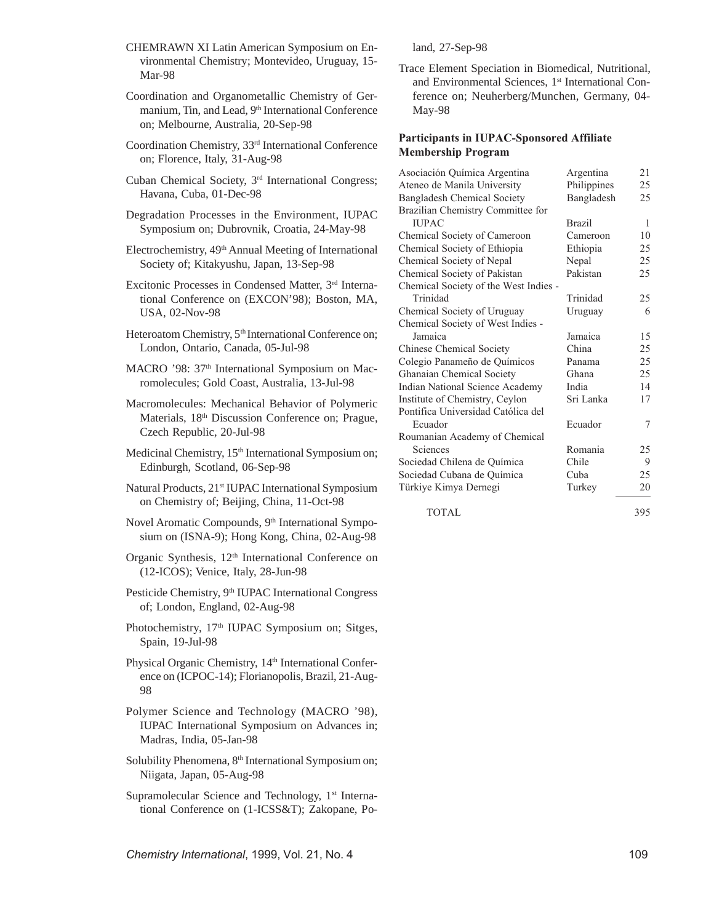CHEMRAWN XI Latin American Symposium on Environmental Chemistry; Montevideo, Uruguay, 15- Mar-98

- Coordination and Organometallic Chemistry of Germanium, Tin, and Lead, 9<sup>th</sup> International Conference on; Melbourne, Australia, 20-Sep-98
- Coordination Chemistry, 33rd International Conference on; Florence, Italy, 31-Aug-98
- Cuban Chemical Society, 3rd International Congress; Havana, Cuba, 01-Dec-98
- Degradation Processes in the Environment, IUPAC Symposium on; Dubrovnik, Croatia, 24-May-98
- Electrochemistry, 49<sup>th</sup> Annual Meeting of International Society of; Kitakyushu, Japan, 13-Sep-98
- Excitonic Processes in Condensed Matter, 3rd International Conference on (EXCON'98); Boston, MA, USA, 02-Nov-98
- Heteroatom Chemistry, 5<sup>th</sup> International Conference on; London, Ontario, Canada, 05-Jul-98
- MACRO '98: 37<sup>th</sup> International Symposium on Macromolecules; Gold Coast, Australia, 13-Jul-98
- Macromolecules: Mechanical Behavior of Polymeric Materials, 18<sup>th</sup> Discussion Conference on; Prague, Czech Republic, 20-Jul-98
- Medicinal Chemistry, 15<sup>th</sup> International Symposium on; Edinburgh, Scotland, 06-Sep-98
- Natural Products, 21<sup>st</sup> IUPAC International Symposium on Chemistry of; Beijing, China, 11-Oct-98
- Novel Aromatic Compounds, 9<sup>th</sup> International Symposium on (ISNA-9); Hong Kong, China, 02-Aug-98
- Organic Synthesis, 12<sup>th</sup> International Conference on (12-ICOS); Venice, Italy, 28-Jun-98
- Pesticide Chemistry, 9<sup>th</sup> IUPAC International Congress of; London, England, 02-Aug-98
- Photochemistry, 17<sup>th</sup> IUPAC Symposium on; Sitges, Spain, 19-Jul-98
- Physical Organic Chemistry, 14<sup>th</sup> International Conference on (ICPOC-14); Florianopolis, Brazil, 21-Aug-98
- Polymer Science and Technology (MACRO '98), IUPAC International Symposium on Advances in; Madras, India, 05-Jan-98
- Solubility Phenomena, 8<sup>th</sup> International Symposium on; Niigata, Japan, 05-Aug-98
- Supramolecular Science and Technology, 1<sup>st</sup> International Conference on (1-ICSS&T); Zakopane, Po-

land, 27-Sep-98

Trace Element Speciation in Biomedical, Nutritional, and Environmental Sciences, 1<sup>st</sup> International Conference on; Neuherberg/Munchen, Germany, 04- May-98

#### Participants in IUPAC-Sponsored Affiliate Membership Program

| Asociación Química Argentina          | Argentina     | 21           |
|---------------------------------------|---------------|--------------|
| Ateneo de Manila University           | Philippines   | 25           |
| Bangladesh Chemical Society           | Bangladesh    | 25           |
| Brazilian Chemistry Committee for     |               |              |
| <b>IUPAC</b>                          | <b>Brazil</b> | $\mathbf{1}$ |
| Chemical Society of Cameroon          | Cameroon      | 10           |
| Chemical Society of Ethiopia          | Ethiopia      | 25           |
| Chemical Society of Nepal             | Nepal         | 25           |
| Chemical Society of Pakistan          | Pakistan      | 25           |
| Chemical Society of the West Indies - |               |              |
| Trinidad                              | Trinidad      | 25           |
| Chemical Society of Uruguay           | Uruguay       | 6            |
| Chemical Society of West Indies -     |               |              |
| Jamaica                               | Jamaica       | 15           |
| <b>Chinese Chemical Society</b>       | China         | 25           |
| Colegio Panameño de Químicos          | Panama        | 25           |
| Ghanaian Chemical Society             | Ghana         | 25           |
| Indian National Science Academy       | India         | 14           |
| Institute of Chemistry, Ceylon        | Sri Lanka     | 17           |
| Pontifica Universidad Católica del    |               |              |
| Ecuador                               | Ecuador       | 7            |
| Roumanian Academy of Chemical         |               |              |
| Sciences                              | Romania       | 25           |
| Sociedad Chilena de Química           | Chile         | 9            |
| Sociedad Cubana de Química            | Cuba          | 25           |
| Türkiye Kimya Dernegi                 | Turkey        | 20           |

TOTAL 395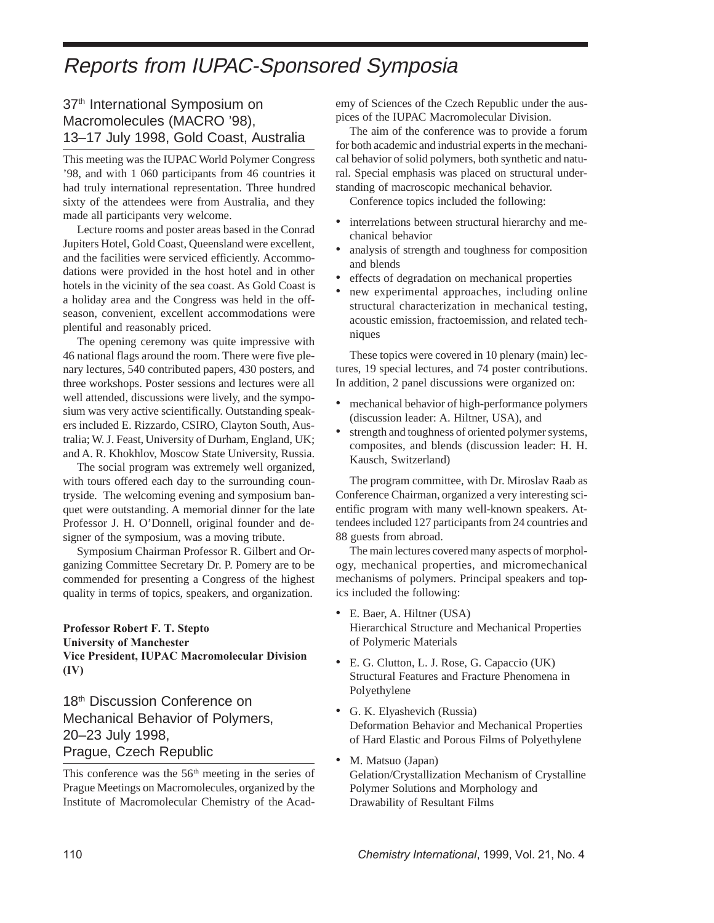# Reports from IUPAC-Sponsored Symposia

## 37<sup>th</sup> International Symposium on Macromolecules (MACRO '98), 13–17 July 1998, Gold Coast, Australia

This meeting was the IUPAC World Polymer Congress '98, and with 1 060 participants from 46 countries it had truly international representation. Three hundred sixty of the attendees were from Australia, and they made all participants very welcome.

Lecture rooms and poster areas based in the Conrad Jupiters Hotel, Gold Coast, Queensland were excellent, and the facilities were serviced efficiently. Accommodations were provided in the host hotel and in other hotels in the vicinity of the sea coast. As Gold Coast is a holiday area and the Congress was held in the offseason, convenient, excellent accommodations were plentiful and reasonably priced.

The opening ceremony was quite impressive with 46 national flags around the room. There were five plenary lectures, 540 contributed papers, 430 posters, and three workshops. Poster sessions and lectures were all well attended, discussions were lively, and the symposium was very active scientifically. Outstanding speakers included E. Rizzardo, CSIRO, Clayton South, Australia; W. J. Feast, University of Durham, England, UK; and A. R. Khokhlov, Moscow State University, Russia.

The social program was extremely well organized, with tours offered each day to the surrounding countryside. The welcoming evening and symposium banquet were outstanding. A memorial dinner for the late Professor J. H. O'Donnell, original founder and designer of the symposium, was a moving tribute.

Symposium Chairman Professor R. Gilbert and Organizing Committee Secretary Dr. P. Pomery are to be commended for presenting a Congress of the highest quality in terms of topics, speakers, and organization.

Professor Robert F. T. Stepto University of Manchester Vice President, IUPAC Macromolecular Division (IV)

18<sup>th</sup> Discussion Conference on Mechanical Behavior of Polymers, 20–23 July 1998, Prague, Czech Republic

This conference was the  $56<sup>th</sup>$  meeting in the series of Prague Meetings on Macromolecules, organized by the Institute of Macromolecular Chemistry of the Academy of Sciences of the Czech Republic under the auspices of the IUPAC Macromolecular Division.

The aim of the conference was to provide a forum for both academic and industrial experts in the mechanical behavior of solid polymers, both synthetic and natural. Special emphasis was placed on structural understanding of macroscopic mechanical behavior.

Conference topics included the following:

- interrelations between structural hierarchy and mechanical behavior
- analysis of strength and toughness for composition and blends
- effects of degradation on mechanical properties
- new experimental approaches, including online structural characterization in mechanical testing, acoustic emission, fractoemission, and related techniques

These topics were covered in 10 plenary (main) lectures, 19 special lectures, and 74 poster contributions. In addition, 2 panel discussions were organized on:

- mechanical behavior of high-performance polymers (discussion leader: A. Hiltner, USA), and
- strength and toughness of oriented polymer systems, composites, and blends (discussion leader: H. H. Kausch, Switzerland)

The program committee, with Dr. Miroslav Raab as Conference Chairman, organized a very interesting scientific program with many well-known speakers. Attendees included 127 participants from 24 countries and 88 guests from abroad.

The main lectures covered many aspects of morphology, mechanical properties, and micromechanical mechanisms of polymers. Principal speakers and topics included the following:

- E. Baer, A. Hiltner (USA) Hierarchical Structure and Mechanical Properties of Polymeric Materials
- E. G. Clutton, L. J. Rose, G. Capaccio (UK) Structural Features and Fracture Phenomena in Polyethylene
- G. K. Elyashevich (Russia) Deformation Behavior and Mechanical Properties of Hard Elastic and Porous Films of Polyethylene
- M. Matsuo (Japan) Gelation/Crystallization Mechanism of Crystalline Polymer Solutions and Morphology and Drawability of Resultant Films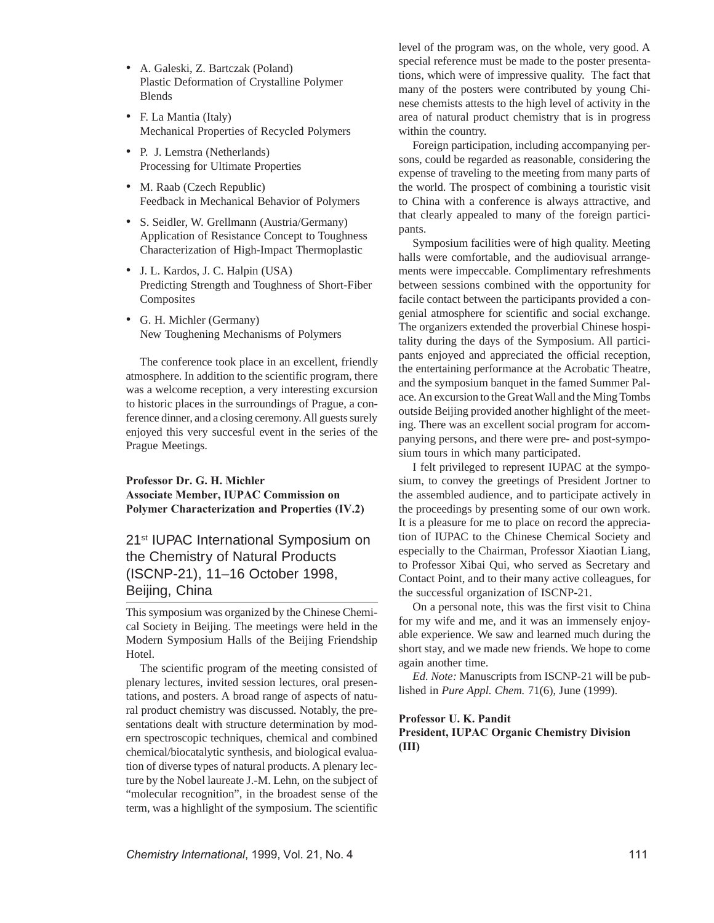- A. Galeski, Z. Bartczak (Poland) Plastic Deformation of Crystalline Polymer Blends
- F. La Mantia (Italy) Mechanical Properties of Recycled Polymers
- P. J. Lemstra (Netherlands) Processing for Ultimate Properties
- M. Raab (Czech Republic) Feedback in Mechanical Behavior of Polymers
- S. Seidler, W. Grellmann (Austria/Germany) Application of Resistance Concept to Toughness Characterization of High-Impact Thermoplastic
- J. L. Kardos, J. C. Halpin (USA) Predicting Strength and Toughness of Short-Fiber Composites
- G. H. Michler (Germany) New Toughening Mechanisms of Polymers

The conference took place in an excellent, friendly atmosphere. In addition to the scientific program, there was a welcome reception, a very interesting excursion to historic places in the surroundings of Prague, a conference dinner, and a closing ceremony. All guests surely enjoyed this very succesful event in the series of the Prague Meetings.

## Professor Dr. G. H. Michler Associate Member, IUPAC Commission on Polymer Characterization and Properties (IV.2)

21<sup>st</sup> IUPAC International Symposium on the Chemistry of Natural Products (ISCNP-21), 11–16 October 1998, Beijing, China

This symposium was organized by the Chinese Chemical Society in Beijing. The meetings were held in the Modern Symposium Halls of the Beijing Friendship Hotel.

The scientific program of the meeting consisted of plenary lectures, invited session lectures, oral presentations, and posters. A broad range of aspects of natural product chemistry was discussed. Notably, the presentations dealt with structure determination by modern spectroscopic techniques, chemical and combined chemical/biocatalytic synthesis, and biological evaluation of diverse types of natural products. A plenary lecture by the Nobel laureate J.-M. Lehn, on the subject of "molecular recognition", in the broadest sense of the term, was a highlight of the symposium. The scientific

level of the program was, on the whole, very good. A special reference must be made to the poster presentations, which were of impressive quality. The fact that many of the posters were contributed by young Chinese chemists attests to the high level of activity in the area of natural product chemistry that is in progress within the country.

Foreign participation, including accompanying persons, could be regarded as reasonable, considering the expense of traveling to the meeting from many parts of the world. The prospect of combining a touristic visit to China with a conference is always attractive, and that clearly appealed to many of the foreign participants.

Symposium facilities were of high quality. Meeting halls were comfortable, and the audiovisual arrangements were impeccable. Complimentary refreshments between sessions combined with the opportunity for facile contact between the participants provided a congenial atmosphere for scientific and social exchange. The organizers extended the proverbial Chinese hospitality during the days of the Symposium. All participants enjoyed and appreciated the official reception, the entertaining performance at the Acrobatic Theatre, and the symposium banquet in the famed Summer Palace. An excursion to the Great Wall and the Ming Tombs outside Beijing provided another highlight of the meeting. There was an excellent social program for accompanying persons, and there were pre- and post-symposium tours in which many participated.

I felt privileged to represent IUPAC at the symposium, to convey the greetings of President Jortner to the assembled audience, and to participate actively in the proceedings by presenting some of our own work. It is a pleasure for me to place on record the appreciation of IUPAC to the Chinese Chemical Society and especially to the Chairman, Professor Xiaotian Liang, to Professor Xibai Qui, who served as Secretary and Contact Point, and to their many active colleagues, for the successful organization of ISCNP-21.

On a personal note, this was the first visit to China for my wife and me, and it was an immensely enjoyable experience. We saw and learned much during the short stay, and we made new friends. We hope to come again another time.

*Ed. Note:* Manuscripts from ISCNP-21 will be published in *Pure Appl. Chem.* 71(6), June (1999).

## Professor U. K. Pandit President, IUPAC Organic Chemistry Division (III)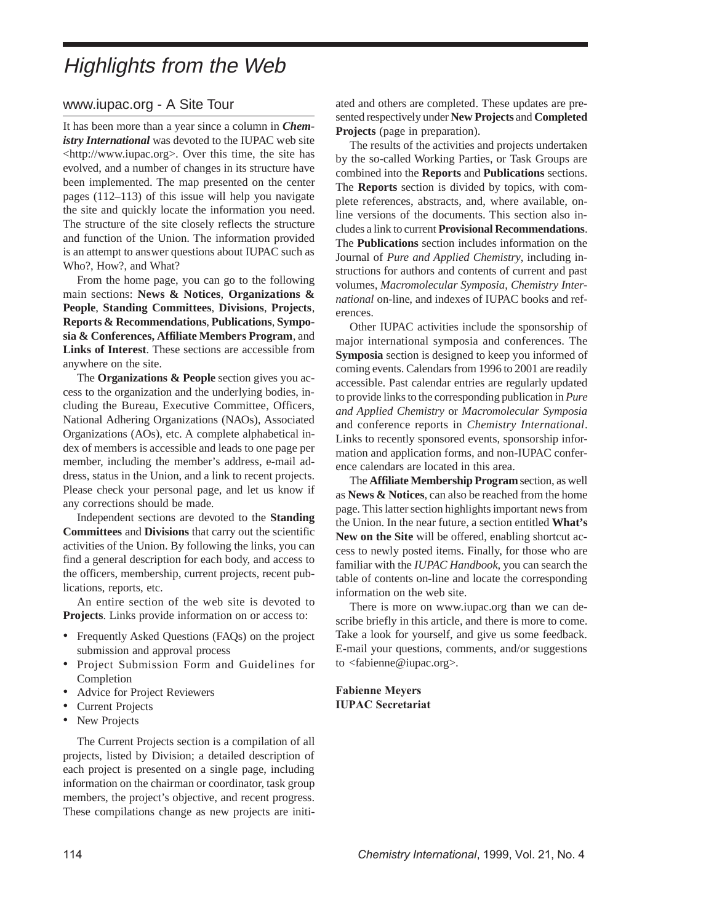# Highlights from the Web

## www.iupac.org - A Site Tour

It has been more than a year since a column in *Chemistry International* was devoted to the IUPAC web site <http://www.iupac.org>. Over this time, the site has evolved, and a number of changes in its structure have been implemented. The map presented on the center pages (112–113) of this issue will help you navigate the site and quickly locate the information you need. The structure of the site closely reflects the structure and function of the Union. The information provided is an attempt to answer questions about IUPAC such as Who?, How?, and What?

From the home page, you can go to the following main sections: **News & Notices**, **Organizations & People**, **Standing Committees**, **Divisions**, **Projects**, **Reports & Recommendations**, **Publications**, **Symposia & Conferences, Affiliate Members Program**, and **Links of Interest**. These sections are accessible from anywhere on the site.

The **Organizations & People** section gives you access to the organization and the underlying bodies, including the Bureau, Executive Committee, Officers, National Adhering Organizations (NAOs), Associated Organizations (AOs), etc. A complete alphabetical index of members is accessible and leads to one page per member, including the member's address, e-mail address, status in the Union, and a link to recent projects. Please check your personal page, and let us know if any corrections should be made.

Independent sections are devoted to the **Standing Committees** and **Divisions** that carry out the scientific activities of the Union. By following the links, you can find a general description for each body, and access to the officers, membership, current projects, recent publications, reports, etc.

An entire section of the web site is devoted to **Projects**. Links provide information on or access to:

- Frequently Asked Questions (FAQs) on the project submission and approval process
- Project Submission Form and Guidelines for Completion
- Advice for Project Reviewers
- Current Projects
- New Projects

The Current Projects section is a compilation of all projects, listed by Division; a detailed description of each project is presented on a single page, including information on the chairman or coordinator, task group members, the project's objective, and recent progress. These compilations change as new projects are initiated and others are completed. These updates are presented respectively under **New Projects** and **Completed Projects** (page in preparation).

The results of the activities and projects undertaken by the so-called Working Parties, or Task Groups are combined into the **Reports** and **Publications** sections. The **Reports** section is divided by topics, with complete references, abstracts, and, where available, online versions of the documents. This section also includes a link to current **Provisional Recommendations**. The **Publications** section includes information on the Journal of *Pure and Applied Chemistry*, including instructions for authors and contents of current and past volumes, *Macromolecular Symposia*, *Chemistry International* on-line, and indexes of IUPAC books and references.

Other IUPAC activities include the sponsorship of major international symposia and conferences. The **Symposia** section is designed to keep you informed of coming events. Calendars from 1996 to 2001 are readily accessible. Past calendar entries are regularly updated to provide links to the corresponding publication in *Pure and Applied Chemistry* or *Macromolecular Symposia* and conference reports in *Chemistry International*. Links to recently sponsored events, sponsorship information and application forms, and non-IUPAC conference calendars are located in this area.

The **Affiliate Membership Program** section, as well as **News & Notices**, can also be reached from the home page. This latter section highlights important news from the Union. In the near future, a section entitled **What's New on the Site** will be offered, enabling shortcut access to newly posted items. Finally, for those who are familiar with the *IUPAC Handbook*, you can search the table of contents on-line and locate the corresponding information on the web site.

There is more on www.iupac.org than we can describe briefly in this article, and there is more to come. Take a look for yourself, and give us some feedback. E-mail your questions, comments, and/or suggestions to <fabienne@iupac.org>.

Fabienne Meyers IUPAC Secretariat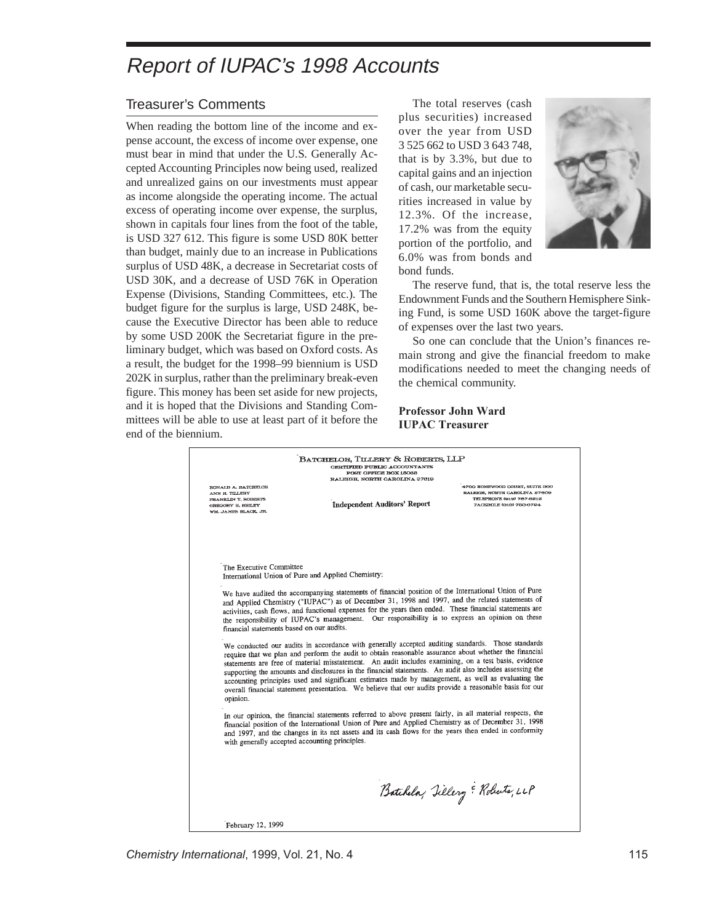## Report of IUPAC's 1998 Accounts

## Treasurer's Comments

When reading the bottom line of the income and expense account, the excess of income over expense, one must bear in mind that under the U.S. Generally Accepted Accounting Principles now being used, realized and unrealized gains on our investments must appear as income alongside the operating income. The actual excess of operating income over expense, the surplus, shown in capitals four lines from the foot of the table, is USD 327 612. This figure is some USD 80K better than budget, mainly due to an increase in Publications surplus of USD 48K, a decrease in Secretariat costs of USD 30K, and a decrease of USD 76K in Operation Expense (Divisions, Standing Committees, etc.). The budget figure for the surplus is large, USD 248K, because the Executive Director has been able to reduce by some USD 200K the Secretariat figure in the preliminary budget, which was based on Oxford costs. As a result, the budget for the 1998–99 biennium is USD 202K in surplus, rather than the preliminary break-even figure. This money has been set aside for new projects, and it is hoped that the Divisions and Standing Committees will be able to use at least part of it before the end of the biennium.

The total reserves (cash plus securities) increased over the year from USD 3 525 662 to USD 3 643 748, that is by 3.3%, but due to capital gains and an injection of cash, our marketable securities increased in value by 12.3%. Of the increase, 17.2% was from the equity portion of the portfolio, and 6.0% was from bonds and bond funds.



The reserve fund, that is, the total reserve less the Endownment Funds and the Southern Hemisphere Sinking Fund, is some USD 160K above the target-figure of expenses over the last two years.

So one can conclude that the Union's finances remain strong and give the financial freedom to make modifications needed to meet the changing needs of the chemical community.

Professor John Ward IUPAC Treasurer



Chemistry International, 1999, Vol. 21, No. 4 115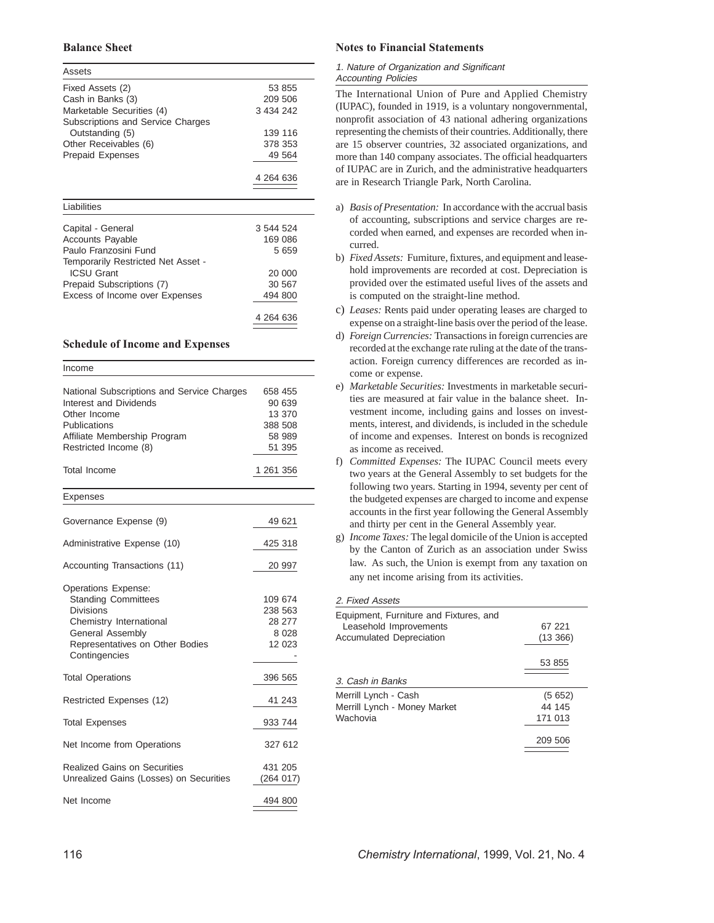#### Balance Sheet

Liabilities

| Assets                            |             |
|-----------------------------------|-------------|
| Fixed Assets (2)                  | 53 855      |
| Cash in Banks (3)                 | 209 506     |
| Marketable Securities (4)         | 3 4 34 2 42 |
| Subscriptions and Service Charges |             |
| Outstanding (5)                   | 139 116     |
| Other Receivables (6)             | 378 353     |
| <b>Prepaid Expenses</b>           | 49 5 64     |
|                                   | 4 264 636   |

| Liavilluco                         |           |
|------------------------------------|-----------|
| Capital - General                  | 3 544 524 |
| <b>Accounts Payable</b>            | 169 086   |
| Paulo Franzosini Fund              | 5 6 5 9   |
| Temporarily Restricted Net Asset - |           |
| <b>ICSU Grant</b>                  | 20 000    |
| Prepaid Subscriptions (7)          | 30 567    |
| Excess of Income over Expenses     | 494 800   |
|                                    |           |
|                                    | 4 264 636 |

#### Schedule of Income and Expenses

| Income                                                                                                                                                                          |                                                                         |
|---------------------------------------------------------------------------------------------------------------------------------------------------------------------------------|-------------------------------------------------------------------------|
| National Subscriptions and Service Charges<br>Interest and Dividends<br>Other Income<br>Publications<br>Affiliate Membership Program<br>Restricted Income (8)<br>Total Income   | 658 455<br>90 639<br>13 370<br>388 508<br>58 989<br>51 395<br>1 261 356 |
| <b>Expenses</b>                                                                                                                                                                 |                                                                         |
| Governance Expense (9)                                                                                                                                                          | 49 621                                                                  |
| Administrative Expense (10)                                                                                                                                                     | 425 318                                                                 |
| Accounting Transactions (11)                                                                                                                                                    | 20 997                                                                  |
| Operations Expense:<br><b>Standing Committees</b><br><b>Divisions</b><br>Chemistry International<br><b>General Assembly</b><br>Representatives on Other Bodies<br>Contingencies | 109 674<br>238 563<br>28 277<br>8028<br>12 023                          |
| <b>Total Operations</b>                                                                                                                                                         | 396 565                                                                 |
| Restricted Expenses (12)                                                                                                                                                        | 41 243                                                                  |
| <b>Total Expenses</b>                                                                                                                                                           | 933 744                                                                 |
| Net Income from Operations                                                                                                                                                      | 327 612                                                                 |
| Realized Gains on Securities<br>Unrealized Gains (Losses) on Securities                                                                                                         | 431 205<br>(264017)                                                     |
| Net Income                                                                                                                                                                      | 494 800                                                                 |

#### Notes to Financial Statements

#### 1. Nature of Organization and Significant Accounting Policies

The International Union of Pure and Applied Chemistry (IUPAC), founded in 1919, is a voluntary nongovernmental, nonprofit association of 43 national adhering organizations representing the chemists of their countries. Additionally, there are 15 observer countries, 32 associated organizations, and more than 140 company associates. The official headquarters of IUPAC are in Zurich, and the administrative headquarters are in Research Triangle Park, North Carolina.

- a) *Basis of Presentation:* In accordance with the accrual basis of accounting, subscriptions and service charges are recorded when earned, and expenses are recorded when incurred.
- b) *Fixed Assets:* Furniture, fixtures, and equipment and leasehold improvements are recorded at cost. Depreciation is provided over the estimated useful lives of the assets and is computed on the straight-line method.
- c) *Leases:* Rents paid under operating leases are charged to expense on a straight-line basis over the period of the lease.
- d) *Foreign Currencies:* Transactions in foreign currencies are recorded at the exchange rate ruling at the date of the transaction. Foreign currency differences are recorded as income or expense.
- e) *Marketable Securities:* Investments in marketable securities are measured at fair value in the balance sheet. Investment income, including gains and losses on investments, interest, and dividends, is included in the schedule of income and expenses. Interest on bonds is recognized as income as received.
- f) *Committed Expenses:* The IUPAC Council meets every two years at the General Assembly to set budgets for the following two years. Starting in 1994, seventy per cent of the budgeted expenses are charged to income and expense accounts in the first year following the General Assembly and thirty per cent in the General Assembly year.
- g) *Income Taxes:* The legal domicile of the Union is accepted by the Canton of Zurich as an association under Swiss law. As such, the Union is exempt from any taxation on any net income arising from its activities.

#### 2. Fixed Assets

| Equipment, Furniture and Fixtures, and<br>Leasehold Improvements<br><b>Accumulated Depreciation</b> | 67 221   |
|-----------------------------------------------------------------------------------------------------|----------|
|                                                                                                     | (13 366) |
|                                                                                                     | 53 855   |
| 3. Cash in Banks                                                                                    |          |
| Merrill Lynch - Cash                                                                                | (5652)   |
| Merrill Lynch - Money Market                                                                        | 44 145   |
| Wachovia                                                                                            | 171 013  |
|                                                                                                     | 209 506  |
|                                                                                                     |          |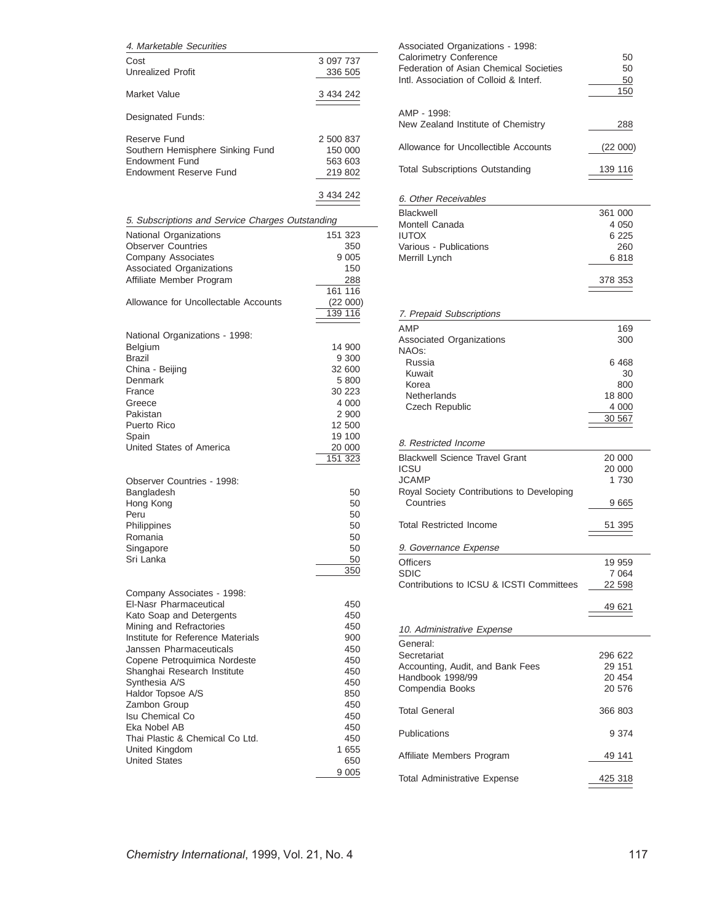| 4. Marketable Securities                                                  |                                 |
|---------------------------------------------------------------------------|---------------------------------|
| Cost<br><b>Unrealized Profit</b>                                          | 3 097 737<br>336 505            |
| Market Value                                                              | 3 434 242                       |
| Designated Funds:                                                         |                                 |
| Reserve Fund<br>Southern Hemisphere Sinking Fund<br><b>Endowment Fund</b> | 2 500 837<br>150 000<br>563 603 |
| <b>Endowment Reserve Fund</b>                                             | 219 802                         |
|                                                                           | 3 434 242                       |
| 5. Subscriptions and Service Charges Outstanding                          |                                 |
| National Organizations                                                    | 151 323                         |
| <b>Observer Countries</b>                                                 | 350                             |
| Company Associates                                                        | 9 005                           |
| Associated Organizations                                                  | 150                             |
|                                                                           | 288                             |
| Affiliate Member Program                                                  |                                 |
|                                                                           | 161 116                         |
| Allowance for Uncollectable Accounts                                      | (22 000)                        |
|                                                                           | 139 116                         |
|                                                                           |                                 |
| National Organizations - 1998:                                            |                                 |
|                                                                           |                                 |
| Belgium                                                                   | 14 900                          |
| <b>Brazil</b>                                                             | 9 300                           |
| China - Beijing                                                           | 32 600                          |
| Denmark                                                                   | 5 800                           |
|                                                                           |                                 |
| France                                                                    | 30 223                          |
| Greece                                                                    | 4 000                           |
| Pakistan                                                                  | 2 900                           |
| Puerto Rico                                                               | 12 500                          |
| Spain                                                                     | 19 100                          |
| United States of America                                                  | 20 000                          |
|                                                                           | 151 323                         |
|                                                                           |                                 |
| <b>Observer Countries - 1998:</b>                                         |                                 |
| Bangladesh                                                                | 50                              |
| Hong Kong                                                                 | 50                              |
|                                                                           |                                 |
| Peru                                                                      | 50                              |
| Philippines                                                               | 50                              |
| Romania                                                                   | 50                              |
| Singapore                                                                 | 50                              |
| Sri Lanka                                                                 | 50                              |
|                                                                           | 350                             |
|                                                                           |                                 |
| Company Associates - 1998:                                                |                                 |
|                                                                           |                                 |
| <b>El-Nasr Pharmaceutical</b>                                             | 450                             |
| Kato Soap and Detergents                                                  | 450                             |
| Mining and Refractories                                                   | 450                             |
| Institute for Reference Materials                                         | 900                             |
| Janssen Pharmaceuticals                                                   | 450                             |
|                                                                           |                                 |
| Copene Petroquimica Nordeste                                              | 450                             |
| Shanghai Research Institute                                               | 450                             |
| Synthesia A/S                                                             | 450                             |
| Haldor Topsoe A/S                                                         | 850                             |
| Zambon Group                                                              | 450                             |
|                                                                           |                                 |
| <b>Isu Chemical Co</b>                                                    | 450                             |
| Eka Nobel AB                                                              | 450                             |
| Thai Plastic & Chemical Co Ltd.                                           | 450                             |
| United Kingdom                                                            | 1 655                           |
| <b>United States</b>                                                      |                                 |
|                                                                           | 650                             |
|                                                                           | 9 005                           |

| Associated Organizations - 1998:                                 |                 |
|------------------------------------------------------------------|-----------------|
| Calorimetry Conference<br>Federation of Asian Chemical Societies | 50<br>50        |
| Intl. Association of Colloid & Interf.                           | 50              |
|                                                                  | 150             |
|                                                                  |                 |
| AMP - 1998:<br>New Zealand Institute of Chemistry                | 288             |
| Allowance for Uncollectible Accounts                             | (22 000)        |
| Total Subscriptions Outstanding                                  | 139 116         |
| 6. Other Receivables                                             |                 |
| <b>Blackwell</b>                                                 | 361 000         |
| Montell Canada                                                   | 4 0 5 0         |
| <b>IUTOX</b><br>Various - Publications                           | 6 2 2 5<br>260  |
| Merrill Lynch                                                    | 6818            |
|                                                                  |                 |
|                                                                  | 378 353         |
| 7. Prepaid Subscriptions                                         |                 |
| AMP                                                              | 169             |
| Associated Organizations                                         | 300             |
| NAOs:<br>Russia                                                  | 6468            |
| Kuwait                                                           | 30              |
| Korea                                                            | 800             |
| Netherlands                                                      | 18 800          |
| Czech Republic                                                   | 4 000           |
|                                                                  | 30 567          |
|                                                                  |                 |
|                                                                  |                 |
| 8. Restricted Income                                             |                 |
| <b>Blackwell Science Travel Grant</b>                            | 20 000          |
| <b>ICSU</b><br><b>JCAMP</b>                                      | 20 000<br>1 730 |
| Royal Society Contributions to Developing                        |                 |
| Countries                                                        | 9 665           |
| <b>Total Restricted Income</b>                                   | 51 395          |
|                                                                  |                 |
| 9. Governance Expense                                            |                 |
| Officers<br>SDIC                                                 | 19 959<br>7 064 |
| Contributions to ICSU & ICSTI Committees                         | 22 598          |
|                                                                  | 49 621          |
| 10. Administrative Expense                                       |                 |
| General:                                                         |                 |
| Secretariat                                                      | 296 622         |
| Accounting, Audit, and Bank Fees                                 | 29 151          |
| Handbook 1998/99                                                 | 20 454          |
| Compendia Books                                                  | 20 576          |
| <b>Total General</b>                                             | 366 803         |
| Publications                                                     | 9 374           |
| Affiliate Members Program                                        | 49 141          |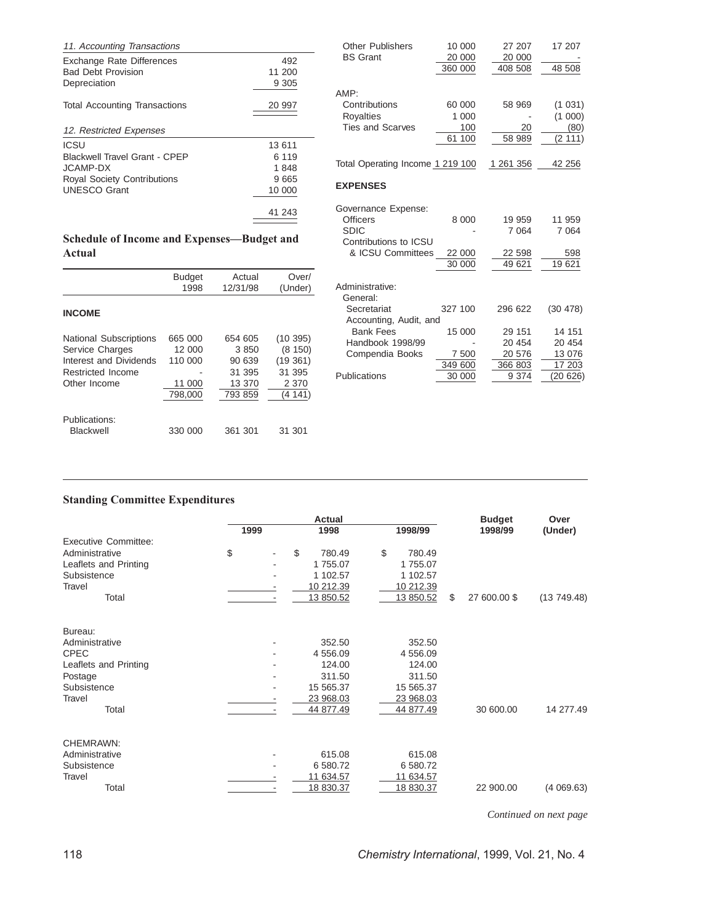| 11. Accounting Transactions          |         | Other             |
|--------------------------------------|---------|-------------------|
| <b>Exchange Rate Differences</b>     | 492     | <b>BS Gr</b>      |
| <b>Bad Debt Provision</b>            | 11 200  |                   |
| Depreciation                         | 9 3 0 5 |                   |
|                                      |         | AMP:              |
| <b>Total Accounting Transactions</b> | 20 997  | Contri            |
|                                      |         | Royalt            |
| 12. Restricted Expenses              |         | Ties a            |
| <b>ICSU</b>                          | 13 611  |                   |
| <b>Blackwell Travel Grant - CPEP</b> | 6 1 1 9 |                   |
| <b>JCAMP-DX</b>                      | 1848    | Total Op          |
| <b>Royal Society Contributions</b>   | 9665    |                   |
| <b>UNESCO Grant</b>                  | 10 000  | <b>EXPEN</b>      |
|                                      | 41 243  | Governa<br>Office |

## Schedule of Income and Expenses-Budget and Actual

|                                                                                                                 | <b>Budget</b><br>1998                             | Actual<br>12/31/98                                       | Over/<br>(Under)                                             |
|-----------------------------------------------------------------------------------------------------------------|---------------------------------------------------|----------------------------------------------------------|--------------------------------------------------------------|
| <b>INCOME</b>                                                                                                   |                                                   |                                                          |                                                              |
| <b>National Subscriptions</b><br>Service Charges<br>Interest and Dividends<br>Restricted Income<br>Other Income | 665 000<br>12 000<br>110 000<br>11 000<br>798,000 | 654 605<br>3850<br>90 639<br>31 395<br>13 370<br>793 859 | (10395)<br>(8150)<br>(19361)<br>31 395<br>2 3 7 0<br>(4 141) |
| Publications:<br>Blackwell                                                                                      | 330 000                                           | 361 301                                                  | 31 301                                                       |

| <b>Other Publishers</b><br><b>BS Grant</b> | 10 000<br>20 000<br>360 000 | 27 207<br>20 000<br>408 508 | 17 207<br>48 508 |
|--------------------------------------------|-----------------------------|-----------------------------|------------------|
| AMP:                                       |                             |                             |                  |
| Contributions                              | 60 000                      | 58 969                      | (1031)           |
| <b>Rovalties</b>                           | 1 000                       |                             | (1 000)          |
| <b>Ties and Scarves</b>                    | 100                         | 20                          | (80)             |
|                                            | 61 100                      | 58 989                      | (2111)           |
| Total Operating Income 1 219 100           |                             | 1 261 356                   | 42 256           |
| <b>EXPENSES</b>                            |                             |                             |                  |
| Governance Expense:                        |                             |                             |                  |
| <b>Officers</b>                            | 8 0 0 0                     | 19 959                      | 11 959           |
| <b>SDIC</b>                                |                             | 7 0 64                      | 7 0 64           |
| Contributions to ICSU                      |                             |                             |                  |
| & ICSU Committees                          | 22 000                      | 22 598                      | 598              |
|                                            | 30 000                      | 49 621                      | 19621            |
| Administrative:<br>General:                |                             |                             |                  |
| Secretariat                                | 327 100                     | 296 622                     | (30 478)         |
| Accounting, Audit, and                     |                             |                             |                  |
| <b>Bank Fees</b>                           | 15 000                      | 29 151                      | 14 151           |
| Handbook 1998/99                           |                             | 20 454                      | 20 454           |
| Compendia Books                            | 7 500                       | 20 576                      | 13 076           |
|                                            | 349 600                     | 366 803                     | 17 203           |
| Publications                               | 30 000                      | 9 3 7 4                     | (20 626)         |

## Standing Committee Expenditures

| <b>Actual</b>               |      | <b>Budget</b> | Over         |                    |            |
|-----------------------------|------|---------------|--------------|--------------------|------------|
|                             | 1999 | 1998          | 1998/99      | 1998/99            | (Under)    |
| <b>Executive Committee:</b> |      |               |              |                    |            |
| Administrative              | \$   | \$<br>780.49  | \$<br>780.49 |                    |            |
| Leaflets and Printing       |      | 1755.07       | 1755.07      |                    |            |
| Subsistence                 |      | 1 102.57      | 1 102.57     |                    |            |
| Travel                      |      | 10 212.39     | 10 212.39    |                    |            |
| Total                       |      | 13 850.52     | 13 850.52    | 27 600.00 \$<br>\$ | (13749.48) |
| Bureau:                     |      |               |              |                    |            |
| Administrative              |      | 352.50        | 352.50       |                    |            |
| <b>CPEC</b>                 |      | 4 556.09      | 4 556.09     |                    |            |
| Leaflets and Printing       |      | 124.00        | 124.00       |                    |            |
| Postage                     |      | 311.50        | 311.50       |                    |            |
| Subsistence                 |      | 15 565.37     | 15 565.37    |                    |            |
| Travel                      |      | 23 968.03     | 23 968.03    |                    |            |
| Total                       |      | 44 877.49     | 44 877.49    | 30 600.00          | 14 277.49  |
| CHEMRAWN:                   |      |               |              |                    |            |
| Administrative              |      | 615.08        | 615.08       |                    |            |
| Subsistence                 |      | 6 580.72      | 6 580.72     |                    |            |
| Travel                      |      | 11 634.57     | 11 634.57    |                    |            |
| Total                       |      | 18 830.37     | 18 830.37    | 22 900.00          | (4069.63)  |

*Continued on next page*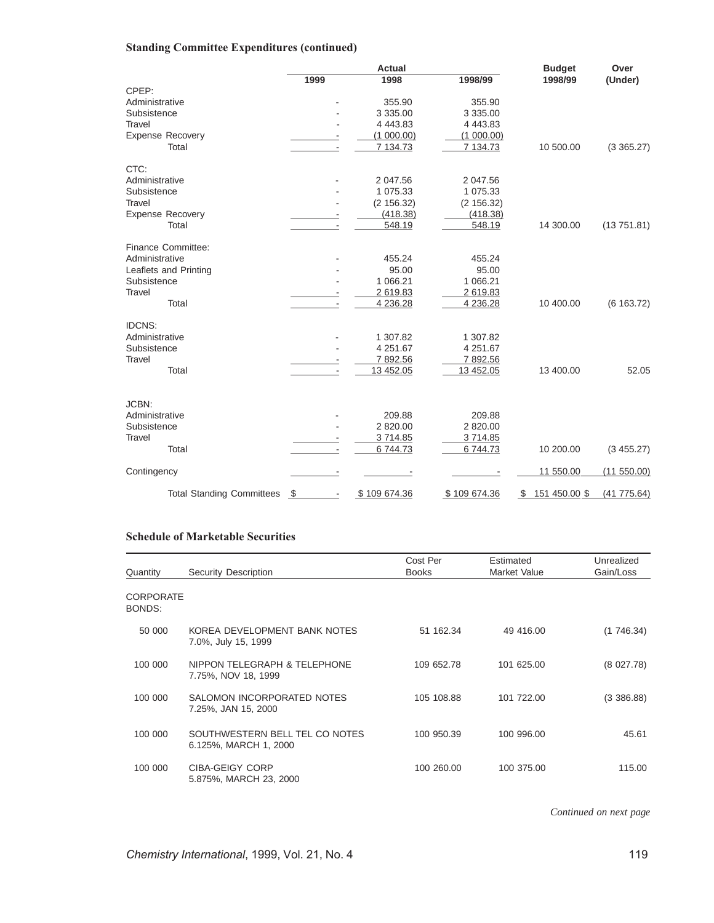## Standing Committee Expenditures (continued)

|                                  |                          | <b>Actual</b> |               | <b>Budget</b>       | Over        |
|----------------------------------|--------------------------|---------------|---------------|---------------------|-------------|
|                                  | 1999                     | 1998          | 1998/99       | 1998/99             | (Under)     |
| CPEP:                            |                          |               |               |                     |             |
| Administrative                   |                          | 355.90        | 355.90        |                     |             |
| Subsistence                      |                          | 3 3 3 5 . 0 0 | 3 3 3 5 . 0 0 |                     |             |
| <b>Travel</b>                    |                          | 4 4 4 3 . 8 3 | 4 4 4 3 . 8 3 |                     |             |
| <b>Expense Recovery</b>          |                          | (1 000.00)    | (1 000.00)    |                     |             |
| Total                            | $\overline{\phantom{a}}$ | 7 134.73      | 7 134.73      | 10 500.00           | (3365.27)   |
| CTC:                             |                          |               |               |                     |             |
| Administrative                   |                          | 2 047.56      | 2 047.56      |                     |             |
| Subsistence                      |                          | 1 075.33      | 1 075.33      |                     |             |
| Travel                           |                          | (2 156.32)    | (2 156.32)    |                     |             |
| <b>Expense Recovery</b>          |                          | (418.38)      | (418.38)      |                     |             |
| Total                            |                          | 548.19        | 548.19        | 14 300.00           | (13751.81)  |
| Finance Committee:               |                          |               |               |                     |             |
| Administrative                   |                          | 455.24        | 455.24        |                     |             |
| Leaflets and Printing            |                          | 95.00         | 95.00         |                     |             |
| Subsistence                      |                          | 1 066.21      | 1 066.21      |                     |             |
| <b>Travel</b>                    |                          | 2 619.83      | 2 619.83      |                     |             |
| Total                            |                          | 4 236.28      | 4 236.28      | 10 400.00           | (6163.72)   |
| <b>IDCNS:</b>                    |                          |               |               |                     |             |
| Administrative                   |                          | 1 307.82      | 1 307.82      |                     |             |
| Subsistence                      |                          | 4 251.67      | 4 251.67      |                     |             |
| <b>Travel</b>                    |                          | 7 892.56      | 7892.56       |                     |             |
| Total                            | $\overline{\phantom{a}}$ | 13 452.05     | 13 452.05     | 13 400.00           | 52.05       |
|                                  |                          |               |               |                     |             |
| JCBN:                            |                          |               |               |                     |             |
| Administrative                   |                          | 209.88        | 209.88        |                     |             |
| Subsistence                      |                          | 2 820.00      | 2 820.00      |                     |             |
| Travel                           |                          | 3714.85       | 3714.85       |                     |             |
| Total                            |                          | 6744.73       | 6744.73       | 10 200.00           | (3455.27)   |
| Contingency                      |                          |               |               | 11 550.00           | (11 550.00) |
| <b>Total Standing Committees</b> | \$                       | \$109 674.36  | \$109674.36   | 151 450.00 \$<br>S. | (41775.64)  |

## Schedule of Marketable Securities

| Quantity                   | Security Description                                    | Cost Per<br><b>Books</b> | Estimated<br>Market Value | Unrealized<br>Gain/Loss |
|----------------------------|---------------------------------------------------------|--------------------------|---------------------------|-------------------------|
| <b>CORPORATE</b><br>BONDS: |                                                         |                          |                           |                         |
| 50 000                     | KOREA DEVELOPMENT BANK NOTES<br>7.0%, July 15, 1999     | 51 162.34                | 49 416.00                 | (1746.34)               |
| 100 000                    | NIPPON TELEGRAPH & TELEPHONE<br>7.75%, NOV 18, 1999     | 109 652.78               | 101 625.00                | (8027.78)               |
| 100 000                    | SALOMON INCORPORATED NOTES<br>7.25%, JAN 15, 2000       | 105 108.88               | 101 722.00                | (3, 386.88)             |
| 100 000                    | SOUTHWESTERN BELL TEL CO NOTES<br>6.125%, MARCH 1, 2000 | 100 950.39               | 100 996.00                | 45.61                   |
| 100 000                    | <b>CIBA-GEIGY CORP</b><br>5.875%, MARCH 23, 2000        | 100 260,00               | 100 375.00                | 115.00                  |

*Continued on next page*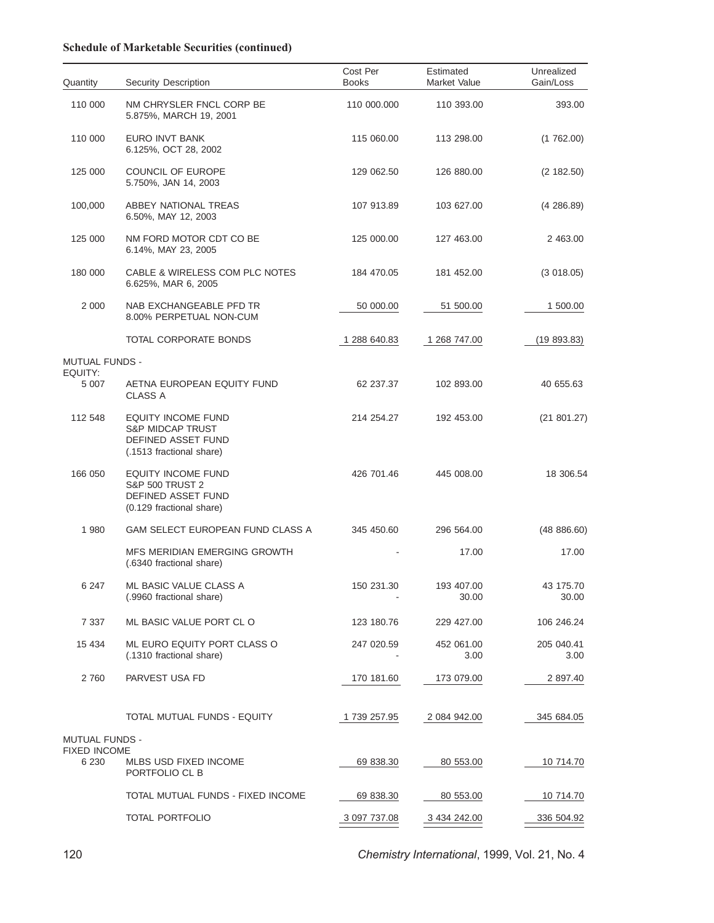## Schedule of Marketable Securities (continued)

| Quantity                              | Security Description                                                                                       | Cost Per<br><b>Books</b> | Estimated<br>Market Value | Unrealized<br>Gain/Loss |
|---------------------------------------|------------------------------------------------------------------------------------------------------------|--------------------------|---------------------------|-------------------------|
| 110 000                               | NM CHRYSLER FNCL CORP BE<br>5.875%, MARCH 19, 2001                                                         | 110 000.000              | 110 393.00                | 393.00                  |
| 110 000                               | EURO INVT BANK<br>6.125%, OCT 28, 2002                                                                     | 115 060.00               | 113 298.00                | (1762.00)               |
| 125 000                               | COUNCIL OF EUROPE<br>5.750%, JAN 14, 2003                                                                  | 129 062.50               | 126 880.00                | (2 182.50)              |
| 100,000                               | ABBEY NATIONAL TREAS<br>6.50%, MAY 12, 2003                                                                | 107 913.89               | 103 627.00                | (4286.89)               |
| 125 000                               | NM FORD MOTOR CDT CO BE<br>6.14%, MAY 23, 2005                                                             | 125 000.00               | 127 463.00                | 2 463.00                |
| 180 000                               | CABLE & WIRELESS COM PLC NOTES<br>6.625%, MAR 6, 2005                                                      | 184 470.05               | 181 452.00                | (3018.05)               |
| 2 0 0 0                               | NAB EXCHANGEABLE PFD TR<br>8.00% PERPETUAL NON-CUM                                                         | 50 000.00                | 51 500.00                 | 1 500.00                |
|                                       | TOTAL CORPORATE BONDS                                                                                      | 1 288 640.83             | 1 268 747.00              | (19 893.83)             |
| <b>MUTUAL FUNDS -</b>                 |                                                                                                            |                          |                           |                         |
| EQUITY:<br>5 0 0 7                    | AETNA EUROPEAN EQUITY FUND<br>CLASS A                                                                      | 62 237.37                | 102 893.00                | 40 655.63               |
| 112 548                               | <b>EQUITY INCOME FUND</b><br><b>S&amp;P MIDCAP TRUST</b><br>DEFINED ASSET FUND<br>(.1513 fractional share) | 214 254.27               | 192 453.00                | (21 801.27)             |
| 166 050                               | <b>EQUITY INCOME FUND</b><br><b>S&amp;P 500 TRUST 2</b><br>DEFINED ASSET FUND<br>(0.129 fractional share)  | 426 701.46               | 445 008.00                | 18 306.54               |
| 1 980                                 | <b>GAM SELECT EUROPEAN FUND CLASS A</b>                                                                    | 345 450.60               | 296 564.00                | (4886.60)               |
|                                       | <b>MFS MERIDIAN EMERGING GROWTH</b><br>(.6340 fractional share)                                            |                          | 17.00                     | 17.00                   |
| 6 247                                 | ML BASIC VALUE CLASS A<br>(.9960 fractional share)                                                         | 150 231.30               | 193 407.00<br>30.00       | 43 175.70<br>30.00      |
| 7 3 3 7                               | ML BASIC VALUE PORT CLO                                                                                    | 123 180.76               | 229 427.00                | 106 246.24              |
| 15 4 34                               | ML EURO EQUITY PORT CLASS O<br>(.1310 fractional share)                                                    | 247 020.59               | 452 061.00<br>3.00        | 205 040.41<br>3.00      |
| 2760                                  | PARVEST USA FD                                                                                             | 170 181.60               | 173 079.00                | 2 897.40                |
|                                       | TOTAL MUTUAL FUNDS - EQUITY                                                                                | 1 739 257.95             | 2 084 942.00              | 345 684.05              |
| MUTUAL FUNDS -<br><b>FIXED INCOME</b> |                                                                                                            |                          |                           |                         |
| 6 2 3 0                               | MLBS USD FIXED INCOME<br>PORTFOLIO CL B                                                                    | 69 838.30                | 80 553.00                 | 10 714.70               |
|                                       | TOTAL MUTUAL FUNDS - FIXED INCOME                                                                          | 69 838.30                | 80 553.00                 | 10 714.70               |
|                                       | <b>TOTAL PORTFOLIO</b>                                                                                     | 3 097 737.08             | 3 434 242.00              | 336 504.92              |

120 Chemistry International, 1999, Vol. 21, No. 4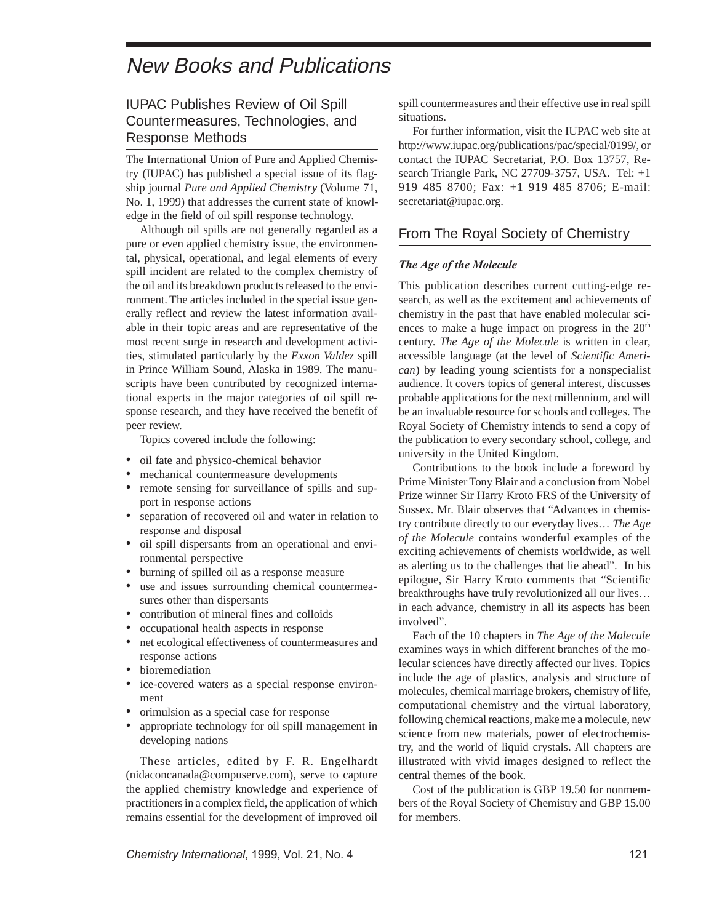## New Books and Publications

## IUPAC Publishes Review of Oil Spill Countermeasures, Technologies, and Response Methods

The International Union of Pure and Applied Chemistry (IUPAC) has published a special issue of its flagship journal *Pure and Applied Chemistry* (Volume 71, No. 1, 1999) that addresses the current state of knowledge in the field of oil spill response technology.

Although oil spills are not generally regarded as a pure or even applied chemistry issue, the environmental, physical, operational, and legal elements of every spill incident are related to the complex chemistry of the oil and its breakdown products released to the environment. The articles included in the special issue generally reflect and review the latest information available in their topic areas and are representative of the most recent surge in research and development activities, stimulated particularly by the *Exxon Valdez* spill in Prince William Sound, Alaska in 1989. The manuscripts have been contributed by recognized international experts in the major categories of oil spill response research, and they have received the benefit of peer review.

Topics covered include the following:

- oil fate and physico-chemical behavior
- mechanical countermeasure developments
- remote sensing for surveillance of spills and support in response actions
- separation of recovered oil and water in relation to response and disposal
- oil spill dispersants from an operational and environmental perspective
- burning of spilled oil as a response measure
- use and issues surrounding chemical countermeasures other than dispersants
- contribution of mineral fines and colloids
- occupational health aspects in response
- net ecological effectiveness of countermeasures and response actions
- bioremediation
- ice-covered waters as a special response environment
- orimulsion as a special case for response
- appropriate technology for oil spill management in developing nations

These articles, edited by F. R. Engelhardt (nidaconcanada@compuserve.com), serve to capture the applied chemistry knowledge and experience of practitioners in a complex field, the application of which remains essential for the development of improved oil

spill countermeasures and their effective use in real spill situations.

For further information, visit the IUPAC web site at http://www.iupac.org/publications/pac/special/0199/, or contact the IUPAC Secretariat, P.O. Box 13757, Research Triangle Park, NC 27709-3757, USA. Tel: +1 919 485 8700; Fax: +1 919 485 8706; E-mail: secretariat@iupac.org.

### From The Royal Society of Chemistry

#### The Age of the Molecule

This publication describes current cutting-edge research, as well as the excitement and achievements of chemistry in the past that have enabled molecular sciences to make a huge impact on progress in the  $20<sup>th</sup>$ century. *The Age of the Molecule* is written in clear, accessible language (at the level of *Scientific American*) by leading young scientists for a nonspecialist audience. It covers topics of general interest, discusses probable applications for the next millennium, and will be an invaluable resource for schools and colleges. The Royal Society of Chemistry intends to send a copy of the publication to every secondary school, college, and university in the United Kingdom.

Contributions to the book include a foreword by Prime Minister Tony Blair and a conclusion from Nobel Prize winner Sir Harry Kroto FRS of the University of Sussex. Mr. Blair observes that "Advances in chemistry contribute directly to our everyday lives… *The Age of the Molecule* contains wonderful examples of the exciting achievements of chemists worldwide, as well as alerting us to the challenges that lie ahead". In his epilogue, Sir Harry Kroto comments that "Scientific breakthroughs have truly revolutionized all our lives… in each advance, chemistry in all its aspects has been involved".

Each of the 10 chapters in *The Age of the Molecule* examines ways in which different branches of the molecular sciences have directly affected our lives. Topics include the age of plastics, analysis and structure of molecules, chemical marriage brokers, chemistry of life, computational chemistry and the virtual laboratory, following chemical reactions, make me a molecule, new science from new materials, power of electrochemistry, and the world of liquid crystals. All chapters are illustrated with vivid images designed to reflect the central themes of the book.

Cost of the publication is GBP 19.50 for nonmembers of the Royal Society of Chemistry and GBP 15.00 for members.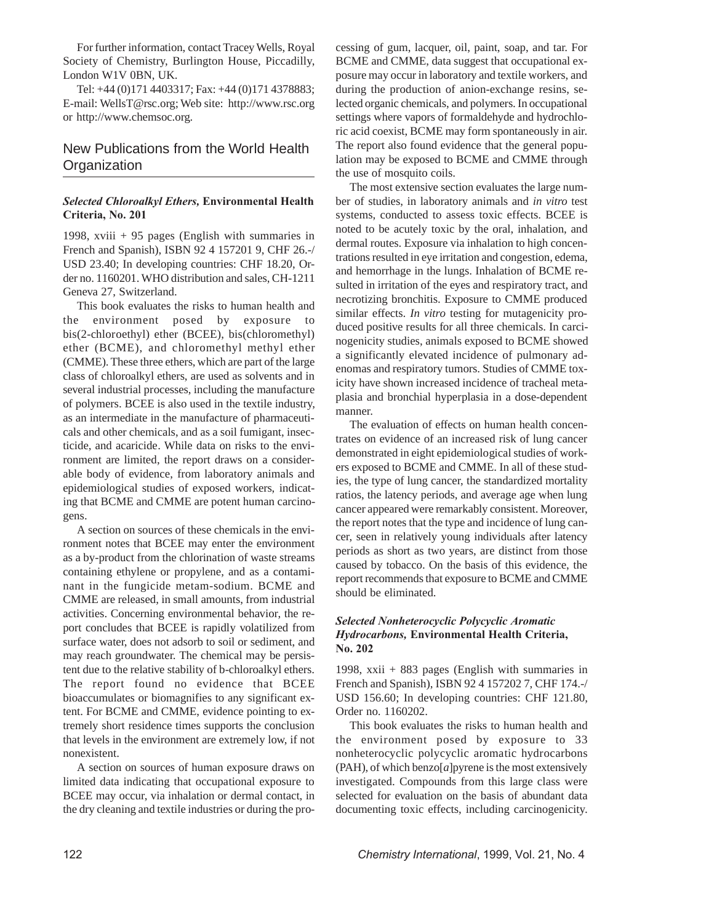For further information, contact Tracey Wells, Royal Society of Chemistry, Burlington House, Piccadilly, London W1V 0BN, UK.

Tel: +44 (0)171 4403317; Fax: +44 (0)171 4378883; E-mail: WellsT@rsc.org; Web site: http://www.rsc.org or http://www.chemsoc.org.

## New Publications from the World Health **Organization**

#### Selected Chloroalkyl Ethers, Environmental Health Criteria, No. 201

1998, xviii + 95 pages (English with summaries in French and Spanish), ISBN 92 4 157201 9, CHF 26.-/ USD 23.40; In developing countries: CHF 18.20, Order no. 1160201. WHO distribution and sales, CH-1211 Geneva 27, Switzerland.

This book evaluates the risks to human health and the environment posed by exposure to bis(2-chloroethyl) ether (BCEE), bis(chloromethyl) ether (BCME), and chloromethyl methyl ether (CMME). These three ethers, which are part of the large class of chloroalkyl ethers, are used as solvents and in several industrial processes, including the manufacture of polymers. BCEE is also used in the textile industry, as an intermediate in the manufacture of pharmaceuticals and other chemicals, and as a soil fumigant, insecticide, and acaricide. While data on risks to the environment are limited, the report draws on a considerable body of evidence, from laboratory animals and epidemiological studies of exposed workers, indicating that BCME and CMME are potent human carcinogens.

A section on sources of these chemicals in the environment notes that BCEE may enter the environment as a by-product from the chlorination of waste streams containing ethylene or propylene, and as a contaminant in the fungicide metam-sodium. BCME and CMME are released, in small amounts, from industrial activities. Concerning environmental behavior, the report concludes that BCEE is rapidly volatilized from surface water, does not adsorb to soil or sediment, and may reach groundwater. The chemical may be persistent due to the relative stability of b-chloroalkyl ethers. The report found no evidence that BCEE bioaccumulates or biomagnifies to any significant extent. For BCME and CMME, evidence pointing to extremely short residence times supports the conclusion that levels in the environment are extremely low, if not nonexistent.

A section on sources of human exposure draws on limited data indicating that occupational exposure to BCEE may occur, via inhalation or dermal contact, in the dry cleaning and textile industries or during the processing of gum, lacquer, oil, paint, soap, and tar. For BCME and CMME, data suggest that occupational exposure may occur in laboratory and textile workers, and during the production of anion-exchange resins, selected organic chemicals, and polymers. In occupational settings where vapors of formaldehyde and hydrochloric acid coexist, BCME may form spontaneously in air. The report also found evidence that the general population may be exposed to BCME and CMME through the use of mosquito coils.

The most extensive section evaluates the large number of studies, in laboratory animals and *in vitro* test systems, conducted to assess toxic effects. BCEE is noted to be acutely toxic by the oral, inhalation, and dermal routes. Exposure via inhalation to high concentrations resulted in eye irritation and congestion, edema, and hemorrhage in the lungs. Inhalation of BCME resulted in irritation of the eyes and respiratory tract, and necrotizing bronchitis. Exposure to CMME produced similar effects. *In vitro* testing for mutagenicity produced positive results for all three chemicals. In carcinogenicity studies, animals exposed to BCME showed a significantly elevated incidence of pulmonary adenomas and respiratory tumors. Studies of CMME toxicity have shown increased incidence of tracheal metaplasia and bronchial hyperplasia in a dose-dependent manner.

The evaluation of effects on human health concentrates on evidence of an increased risk of lung cancer demonstrated in eight epidemiological studies of workers exposed to BCME and CMME. In all of these studies, the type of lung cancer, the standardized mortality ratios, the latency periods, and average age when lung cancer appeared were remarkably consistent. Moreover, the report notes that the type and incidence of lung cancer, seen in relatively young individuals after latency periods as short as two years, are distinct from those caused by tobacco. On the basis of this evidence, the report recommends that exposure to BCME and CMME should be eliminated.

## Selected Nonheterocyclic Polycyclic Aromatic Hydrocarbons, Environmental Health Criteria, No. 202

1998,  $xxi + 883$  pages (English with summaries in French and Spanish), ISBN 92 4 157202 7, CHF 174.-/ USD 156.60; In developing countries: CHF 121.80, Order no. 1160202.

This book evaluates the risks to human health and the environment posed by exposure to 33 nonheterocyclic polycyclic aromatic hydrocarbons (PAH), of which benzo[*a*]pyrene is the most extensively investigated. Compounds from this large class were selected for evaluation on the basis of abundant data documenting toxic effects, including carcinogenicity.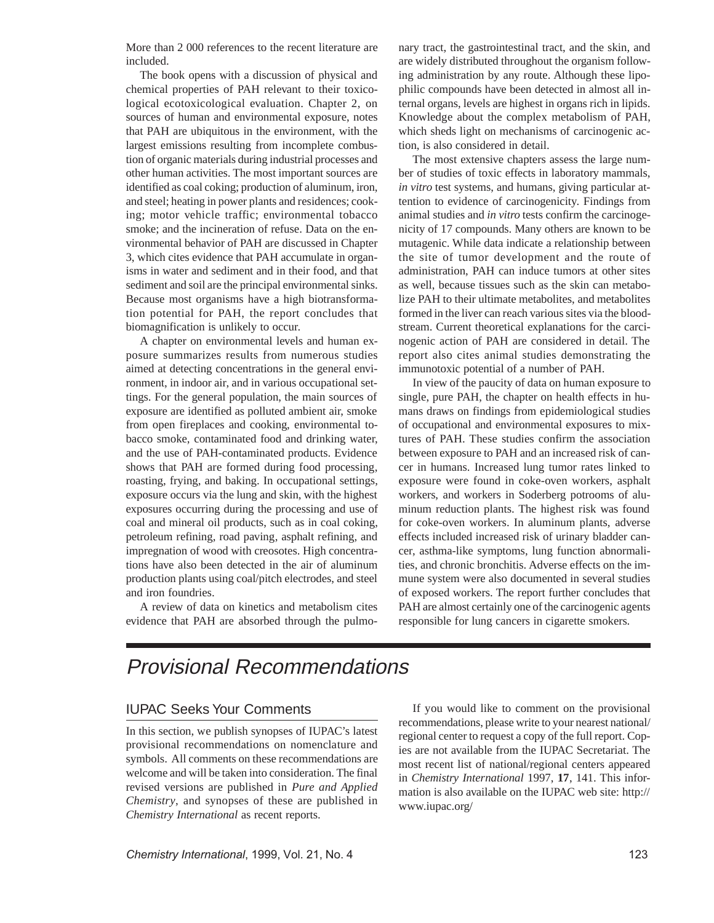More than 2 000 references to the recent literature are included.

The book opens with a discussion of physical and chemical properties of PAH relevant to their toxicological ecotoxicological evaluation. Chapter 2, on sources of human and environmental exposure, notes that PAH are ubiquitous in the environment, with the largest emissions resulting from incomplete combustion of organic materials during industrial processes and other human activities. The most important sources are identified as coal coking; production of aluminum, iron, and steel; heating in power plants and residences; cooking; motor vehicle traffic; environmental tobacco smoke; and the incineration of refuse. Data on the environmental behavior of PAH are discussed in Chapter 3, which cites evidence that PAH accumulate in organisms in water and sediment and in their food, and that sediment and soil are the principal environmental sinks. Because most organisms have a high biotransformation potential for PAH, the report concludes that biomagnification is unlikely to occur.

A chapter on environmental levels and human exposure summarizes results from numerous studies aimed at detecting concentrations in the general environment, in indoor air, and in various occupational settings. For the general population, the main sources of exposure are identified as polluted ambient air, smoke from open fireplaces and cooking, environmental tobacco smoke, contaminated food and drinking water, and the use of PAH-contaminated products. Evidence shows that PAH are formed during food processing, roasting, frying, and baking. In occupational settings, exposure occurs via the lung and skin, with the highest exposures occurring during the processing and use of coal and mineral oil products, such as in coal coking, petroleum refining, road paving, asphalt refining, and impregnation of wood with creosotes. High concentrations have also been detected in the air of aluminum production plants using coal/pitch electrodes, and steel and iron foundries.

A review of data on kinetics and metabolism cites evidence that PAH are absorbed through the pulmonary tract, the gastrointestinal tract, and the skin, and are widely distributed throughout the organism following administration by any route. Although these lipophilic compounds have been detected in almost all internal organs, levels are highest in organs rich in lipids. Knowledge about the complex metabolism of PAH, which sheds light on mechanisms of carcinogenic action, is also considered in detail.

The most extensive chapters assess the large number of studies of toxic effects in laboratory mammals, *in vitro* test systems, and humans, giving particular attention to evidence of carcinogenicity. Findings from animal studies and *in vitro* tests confirm the carcinogenicity of 17 compounds. Many others are known to be mutagenic. While data indicate a relationship between the site of tumor development and the route of administration, PAH can induce tumors at other sites as well, because tissues such as the skin can metabolize PAH to their ultimate metabolites, and metabolites formed in the liver can reach various sites via the bloodstream. Current theoretical explanations for the carcinogenic action of PAH are considered in detail. The report also cites animal studies demonstrating the immunotoxic potential of a number of PAH.

In view of the paucity of data on human exposure to single, pure PAH, the chapter on health effects in humans draws on findings from epidemiological studies of occupational and environmental exposures to mixtures of PAH. These studies confirm the association between exposure to PAH and an increased risk of cancer in humans. Increased lung tumor rates linked to exposure were found in coke-oven workers, asphalt workers, and workers in Soderberg potrooms of aluminum reduction plants. The highest risk was found for coke-oven workers. In aluminum plants, adverse effects included increased risk of urinary bladder cancer, asthma-like symptoms, lung function abnormalities, and chronic bronchitis. Adverse effects on the immune system were also documented in several studies of exposed workers. The report further concludes that PAH are almost certainly one of the carcinogenic agents responsible for lung cancers in cigarette smokers.

## Provisional Recommendations

## IUPAC Seeks Your Comments

In this section, we publish synopses of IUPAC's latest provisional recommendations on nomenclature and symbols. All comments on these recommendations are welcome and will be taken into consideration. The final revised versions are published in *Pure and Applied Chemistry*, and synopses of these are published in *Chemistry International* as recent reports.

If you would like to comment on the provisional recommendations, please write to your nearest national/ regional center to request a copy of the full report. Copies are not available from the IUPAC Secretariat. The most recent list of national/regional centers appeared in *Chemistry International* 1997, **17**, 141. This information is also available on the IUPAC web site: http:// www.iupac.org/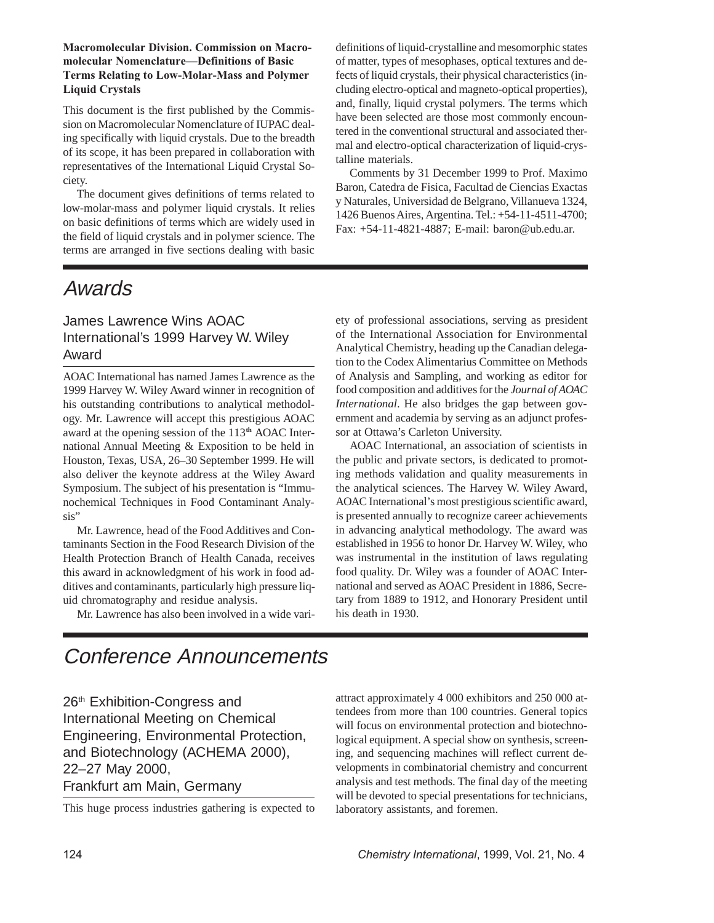## Macromolecular Division. Commission on Macromolecular Nomenclature—Definitions of Basic Terms Relating to Low-Molar-Mass and Polymer Liquid Crystals

This document is the first published by the Commission on Macromolecular Nomenclature of IUPAC dealing specifically with liquid crystals. Due to the breadth of its scope, it has been prepared in collaboration with representatives of the International Liquid Crystal Society.

The document gives definitions of terms related to low-molar-mass and polymer liquid crystals. It relies on basic definitions of terms which are widely used in the field of liquid crystals and in polymer science. The terms are arranged in five sections dealing with basic

## Awards

## James Lawrence Wins AOAC International's 1999 Harvey W. Wiley Award

AOAC International has named James Lawrence as the 1999 Harvey W. Wiley Award winner in recognition of his outstanding contributions to analytical methodology. Mr. Lawrence will accept this prestigious AOAC award at the opening session of the 113**th** AOAC International Annual Meeting & Exposition to be held in Houston, Texas, USA, 26–30 September 1999. He will also deliver the keynote address at the Wiley Award Symposium. The subject of his presentation is "Immunochemical Techniques in Food Contaminant Analysis"

Mr. Lawrence, head of the Food Additives and Contaminants Section in the Food Research Division of the Health Protection Branch of Health Canada, receives this award in acknowledgment of his work in food additives and contaminants, particularly high pressure liquid chromatography and residue analysis.

Mr. Lawrence has also been involved in a wide vari-

definitions of liquid-crystalline and mesomorphic states of matter, types of mesophases, optical textures and defects of liquid crystals, their physical characteristics (including electro-optical and magneto-optical properties), and, finally, liquid crystal polymers. The terms which have been selected are those most commonly encountered in the conventional structural and associated thermal and electro-optical characterization of liquid-crystalline materials.

Comments by 31 December 1999 to Prof. Maximo Baron, Catedra de Fisica, Facultad de Ciencias Exactas y Naturales, Universidad de Belgrano, Villanueva 1324, 1426 Buenos Aires, Argentina. Tel.: +54-11-4511-4700; Fax: +54-11-4821-4887; E-mail: baron@ub.edu.ar.

ety of professional associations, serving as president of the International Association for Environmental Analytical Chemistry, heading up the Canadian delegation to the Codex Alimentarius Committee on Methods of Analysis and Sampling, and working as editor for food composition and additives for the *Journal of AOAC International*. He also bridges the gap between government and academia by serving as an adjunct professor at Ottawa's Carleton University.

AOAC International, an association of scientists in the public and private sectors, is dedicated to promoting methods validation and quality measurements in the analytical sciences. The Harvey W. Wiley Award, AOAC International's most prestigious scientific award, is presented annually to recognize career achievements in advancing analytical methodology. The award was established in 1956 to honor Dr. Harvey W. Wiley, who was instrumental in the institution of laws regulating food quality. Dr. Wiley was a founder of AOAC International and served as AOAC President in 1886, Secretary from 1889 to 1912, and Honorary President until his death in 1930.

## Conference Announcements

26<sup>th</sup> Exhibition-Congress and International Meeting on Chemical Engineering, Environmental Protection, and Biotechnology (ACHEMA 2000), 22–27 May 2000, Frankfurt am Main, Germany

This huge process industries gathering is expected to

attract approximately 4 000 exhibitors and 250 000 attendees from more than 100 countries. General topics will focus on environmental protection and biotechnological equipment. A special show on synthesis, screening, and sequencing machines will reflect current developments in combinatorial chemistry and concurrent analysis and test methods. The final day of the meeting will be devoted to special presentations for technicians, laboratory assistants, and foremen.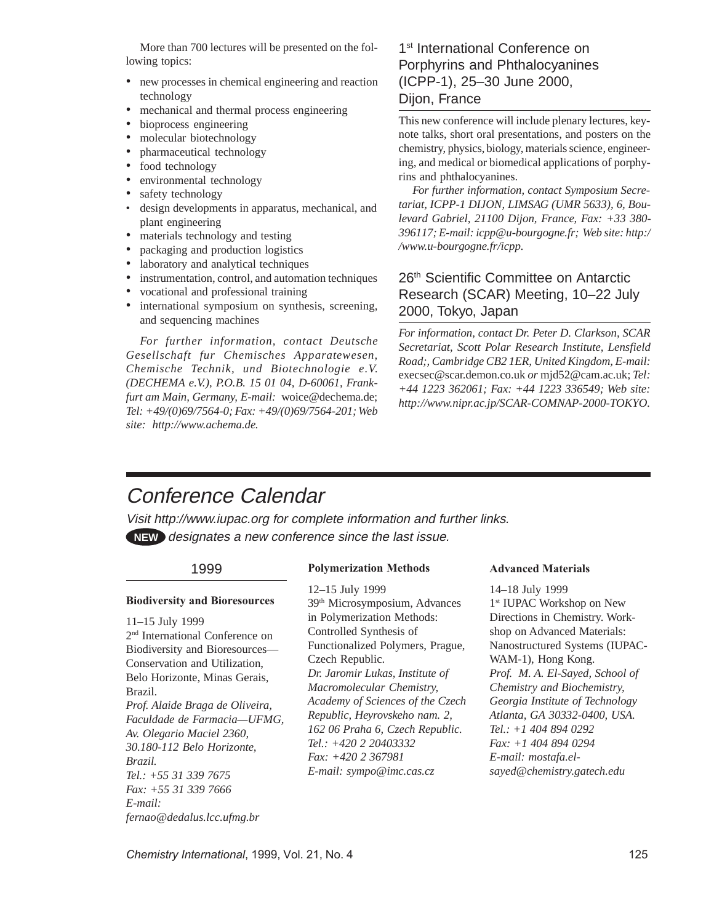More than 700 lectures will be presented on the following topics:

- new processes in chemical engineering and reaction technology
- mechanical and thermal process engineering
- bioprocess engineering
- molecular biotechnology
- pharmaceutical technology
- food technology
- environmental technology
- safety technology
- design developments in apparatus, mechanical, and plant engineering
- materials technology and testing
- packaging and production logistics
- laboratory and analytical techniques
- instrumentation, control, and automation techniques
- vocational and professional training
- international symposium on synthesis, screening, and sequencing machines

*For further information, contact Deutsche Gesellschaft fur Chemisches Apparatewesen, Chemische Technik, und Biotechnologie e.V. (DECHEMA e.V.), P.O.B. 15 01 04, D-60061, Frankfurt am Main, Germany, E-mail:* woice@dechema.de; *Tel: +49/(0)69/7564-0; Fax: +49/(0)69/7564-201; Web site: http://www.achema.de.*

## 1<sup>st</sup> International Conference on Porphyrins and Phthalocyanines (ICPP-1), 25–30 June 2000, Dijon, France

This new conference will include plenary lectures, keynote talks, short oral presentations, and posters on the chemistry, physics, biology, materials science, engineering, and medical or biomedical applications of porphyrins and phthalocyanines.

*For further information, contact Symposium Secretariat, ICPP-1 DIJON, LIMSAG (UMR 5633), 6, Boulevard Gabriel, 21100 Dijon, France, Fax: +33 380- 396117; E-mail: icpp@u-bourgogne.fr; Web site: http:/ /www.u-bourgogne.fr/icpp.*

## 26th Scientific Committee on Antarctic Research (SCAR) Meeting, 10–22 July 2000, Tokyo, Japan

*For information, contact Dr. Peter D. Clarkson, SCAR Secretariat, Scott Polar Research Institute, Lensfield Road;, Cambridge CB2 1ER, United Kingdom, E-mail:* execsec@scar.demon.co.uk *or* mjd52@cam.ac.uk; *Tel: +44 1223 362061; Fax: +44 1223 336549; Web site: http://www.nipr.ac.jp/SCAR-COMNAP-2000-TOKYO.*

# Conference Calendar

Visit http://www.iupac.org for complete information and further links. **NEW** designates a new conference since the last issue.

## 1999

## Biodiversity and Bioresources

11–15 July 1999 2nd International Conference on Biodiversity and Bioresources— Conservation and Utilization, Belo Horizonte, Minas Gerais, Brazil. *Prof. Alaide Braga de Oliveira, Faculdade de Farmacia—UFMG, Av. Olegario Maciel 2360, 30.180-112 Belo Horizonte, Brazil. Tel.: +55 31 339 7675 Fax: +55 31 339 7666 E-mail: fernao@dedalus.lcc.ufmg.br*

## Polymerization Methods

12–15 July 1999 39th Microsymposium, Advances in Polymerization Methods: Controlled Synthesis of Functionalized Polymers, Prague, Czech Republic. *Dr. Jaromir Lukas, Institute of Macromolecular Chemistry, Academy of Sciences of the Czech Republic, Heyrovskeho nam. 2, 162 06 Praha 6, Czech Republic. Tel.: +420 2 20403332 Fax: +420 2 367981 E-mail: sympo@imc.cas.cz*

## Advanced Materials

14–18 July 1999 1<sup>st</sup> IUPAC Workshop on New Directions in Chemistry. Workshop on Advanced Materials: Nanostructured Systems (IUPAC-WAM-1), Hong Kong. *Prof. M. A. El-Sayed, School of Chemistry and Biochemistry, Georgia Institute of Technology Atlanta, GA 30332-0400, USA. Tel.: +1 404 894 0292 Fax: +1 404 894 0294 E-mail: mostafa.elsayed@chemistry.gatech.edu*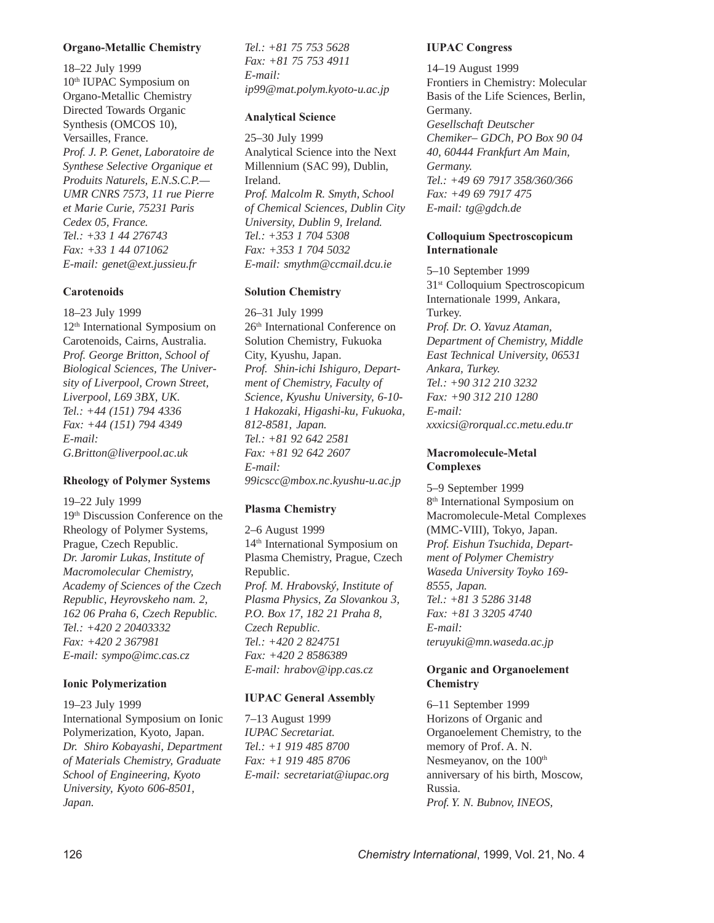### Organo-Metallic Chemistry

18–22 July 1999 10th IUPAC Symposium on Organo-Metallic Chemistry Directed Towards Organic Synthesis (OMCOS 10), Versailles, France. *Prof. J. P. Genet, Laboratoire de Synthese Selective Organique et Produits Naturels, E.N.S.C.P.— UMR CNRS 7573, 11 rue Pierre et Marie Curie, 75231 Paris Cedex 05, France. Tel.: +33 1 44 276743 Fax: +33 1 44 071062 E-mail: genet@ext.jussieu.fr*

## Carotenoids

18–23 July 1999 12<sup>th</sup> International Symposium on Carotenoids, Cairns, Australia. *Prof. George Britton, School of Biological Sciences, The University of Liverpool, Crown Street, Liverpool, L69 3BX, UK. Tel.: +44 (151) 794 4336 Fax: +44 (151) 794 4349 E-mail: G.Britton@liverpool.ac.uk*

## Rheology of Polymer Systems

19–22 July 1999 19th Discussion Conference on the Rheology of Polymer Systems, Prague, Czech Republic. *Dr. Jaromir Lukas, Institute of Macromolecular Chemistry, Academy of Sciences of the Czech Republic, Heyrovskeho nam. 2, 162 06 Praha 6, Czech Republic. Tel.: +420 2 20403332 Fax: +420 2 367981 E-mail: sympo@imc.cas.cz*

## Ionic Polymerization

19–23 July 1999 International Symposium on Ionic Polymerization, Kyoto, Japan. *Dr. Shiro Kobayashi, Department of Materials Chemistry, Graduate School of Engineering, Kyoto University, Kyoto 606-8501, Japan.*

*Tel.: +81 75 753 5628 Fax: +81 75 753 4911 E-mail: ip99@mat.polym.kyoto-u.ac.jp*

## Analytical Science

25–30 July 1999 Analytical Science into the Next Millennium (SAC 99), Dublin, Ireland. *Prof. Malcolm R. Smyth, School of Chemical Sciences, Dublin City University, Dublin 9, Ireland. Tel.: +353 1 704 5308 Fax: +353 1 704 5032 E-mail: smythm@ccmail.dcu.ie*

## Solution Chemistry

26–31 July 1999 26th International Conference on Solution Chemistry, Fukuoka City, Kyushu, Japan. *Prof. Shin-ichi Ishiguro, Department of Chemistry, Faculty of Science, Kyushu University, 6-10- 1 Hakozaki, Higashi-ku, Fukuoka, 812-8581, Japan. Tel.: +81 92 642 2581 Fax: +81 92 642 2607 E-mail: 99icscc@mbox.nc.kyushu-u.ac.jp*

## Plasma Chemistry

2–6 August 1999 14th International Symposium on Plasma Chemistry, Prague, Czech Republic. *Prof. M. Hrabovský, Institute of Plasma Physics, Za Slovankou 3, P.O. Box 17, 182 21 Praha 8, Czech Republic. Tel.: +420 2 824751 Fax: +420 2 8586389 E-mail: hrabov@ipp.cas.cz*

## IUPAC General Assembly

7–13 August 1999 *IUPAC Secretariat. Tel.: +1 919 485 8700 Fax: +1 919 485 8706 E-mail: secretariat@iupac.org*

## IUPAC Congress

14–19 August 1999 Frontiers in Chemistry: Molecular Basis of the Life Sciences, Berlin, Germany. *Gesellschaft Deutscher Chemiker– GDCh, PO Box 90 04 40, 60444 Frankfurt Am Main, Germany. Tel.: +49 69 7917 358/360/366 Fax: +49 69 7917 475 E-mail: tg@gdch.de*

## Colloquium Spectroscopicum Internationale

5–10 September 1999 31st Colloquium Spectroscopicum Internationale 1999, Ankara, Turkey. *Prof. Dr. O. Yavuz Ataman, Department of Chemistry, Middle East Technical University, 06531 Ankara, Turkey. Tel.: +90 312 210 3232 Fax: +90 312 210 1280 E-mail: xxxicsi@rorqual.cc.metu.edu.tr*

## Macromolecule-Metal Complexes

5–9 September 1999 8<sup>th</sup> International Symposium on Macromolecule-Metal Complexes (MMC-VIII), Tokyo, Japan. *Prof. Eishun Tsuchida, Department of Polymer Chemistry Waseda University Toyko 169- 8555, Japan. Tel.: +81 3 5286 3148 Fax: +81 3 3205 4740 E-mail: teruyuki@mn.waseda.ac.jp*

## Organic and Organoelement **Chemistry**

6–11 September 1999 Horizons of Organic and Organoelement Chemistry, to the memory of Prof. A. N. Nesmeyanov, on the 100<sup>th</sup> anniversary of his birth, Moscow, Russia. *Prof. Y. N. Bubnov, INEOS,*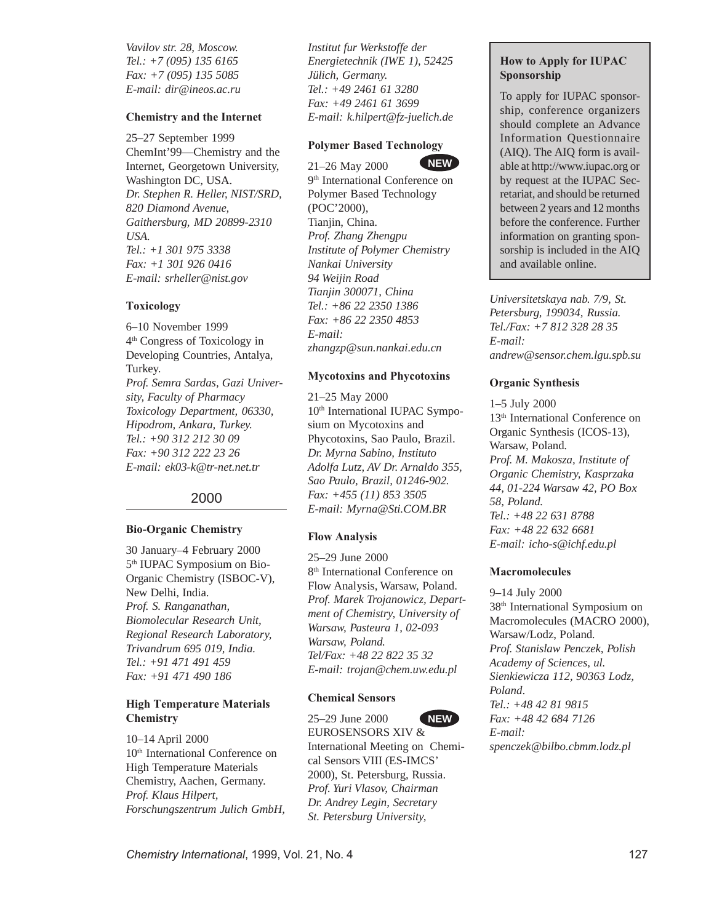*Vavilov str. 28, Moscow. Tel.: +7 (095) 135 6165 Fax: +7 (095) 135 5085 E-mail: dir@ineos.ac.ru*

#### Chemistry and the Internet

25–27 September 1999 ChemInt'99—Chemistry and the Internet, Georgetown University, Washington DC, USA. *Dr. Stephen R. Heller, NIST/SRD, 820 Diamond Avenue, Gaithersburg, MD 20899-2310 USA. Tel.: +1 301 975 3338 Fax: +1 301 926 0416 E-mail: srheller@nist.gov*

#### Toxicology

6–10 November 1999 4th Congress of Toxicology in Developing Countries, Antalya, Turkey. *Prof. Semra Sardas, Gazi University, Faculty of Pharmacy Toxicology Department, 06330, Hipodrom, Ankara, Turkey. Tel.: +90 312 212 30 09 Fax: +90 312 222 23 26 E-mail: ek03-k@tr-net.net.tr*

#### 2000

#### Bio-Organic Chemistry

30 January–4 February 2000 5th IUPAC Symposium on Bio-Organic Chemistry (ISBOC-V), New Delhi, India. *Prof. S. Ranganathan, Biomolecular Research Unit, Regional Research Laboratory, Trivandrum 695 019, India. Tel.: +91 471 491 459 Fax: +91 471 490 186*

### High Temperature Materials **Chemistry**

10–14 April 2000 10<sup>th</sup> International Conference on High Temperature Materials Chemistry, Aachen, Germany. *Prof. Klaus Hilpert, Forschungszentrum Julich GmbH,* *Institut fur Werkstoffe der Energietechnik (IWE 1), 52425 Jülich, Germany. Tel.: +49 2461 61 3280 Fax: +49 2461 61 3699 E-mail: k.hilpert@fz-juelich.de*

#### Polymer Based Technology

21–26 May 2000



9<sup>th</sup> International Conference on Polymer Based Technology (POC'2000), Tianjin, China. *Prof. Zhang Zhengpu Institute of Polymer Chemistry Nankai University 94 Weijin Road Tianjin 300071, China Tel.: +86 22 2350 1386 Fax: +86 22 2350 4853 E-mail: zhangzp@sun.nankai.edu.cn*

#### Mycotoxins and Phycotoxins

21–25 May 2000 10<sup>th</sup> International IUPAC Symposium on Mycotoxins and Phycotoxins, Sao Paulo, Brazil. *Dr. Myrna Sabino, Instituto Adolfa Lutz, AV Dr. Arnaldo 355, Sao Paulo, Brazil, 01246-902. Fax: +455 (11) 853 3505 E-mail: Myrna@Sti.COM.BR*

#### Flow Analysis

25–29 June 2000 8<sup>th</sup> International Conference on Flow Analysis, Warsaw, Poland. *Prof. Marek Trojanowicz, Department of Chemistry, University of Warsaw, Pasteura 1, 02-093 Warsaw, Poland. Tel/Fax: +48 22 822 35 32 E-mail: trojan@chem.uw.edu.pl*

#### Chemical Sensors



## How to Apply for IUPAC Sponsorship

To apply for IUPAC sponsorship, conference organizers should complete an Advance Information Questionnaire (AIQ). The AIQ form is available at http://www.iupac.org or by request at the IUPAC Secretariat, and should be returned between 2 years and 12 months before the conference. Further information on granting sponsorship is included in the AIQ and available online.

*Universitetskaya nab. 7/9, St. Petersburg, 199034, Russia. Tel./Fax: +7 812 328 28 35 E-mail: andrew@sensor.chem.lgu.spb.su*

#### Organic Synthesis

1–5 July 2000 13th International Conference on Organic Synthesis (ICOS-13), Warsaw, Poland. *Prof. M. Makosza, Institute of Organic Chemistry, Kasprzaka 44, 01-224 Warsaw 42, PO Box 58, Poland. Tel.: +48 22 631 8788 Fax: +48 22 632 6681 E-mail: icho-s@ichf.edu.pl*

#### Macromolecules

9–14 July 2000 38th International Symposium on Macromolecules (MACRO 2000), Warsaw/Lodz, Poland. *Prof. Stanislaw Penczek, Polish Academy of Sciences, ul. Sienkiewicza 112, 90363 Lodz, Poland. Tel.: +48 42 81 9815 Fax: +48 42 684 7126 E-mail: spenczek@bilbo.cbmm.lodz.pl*